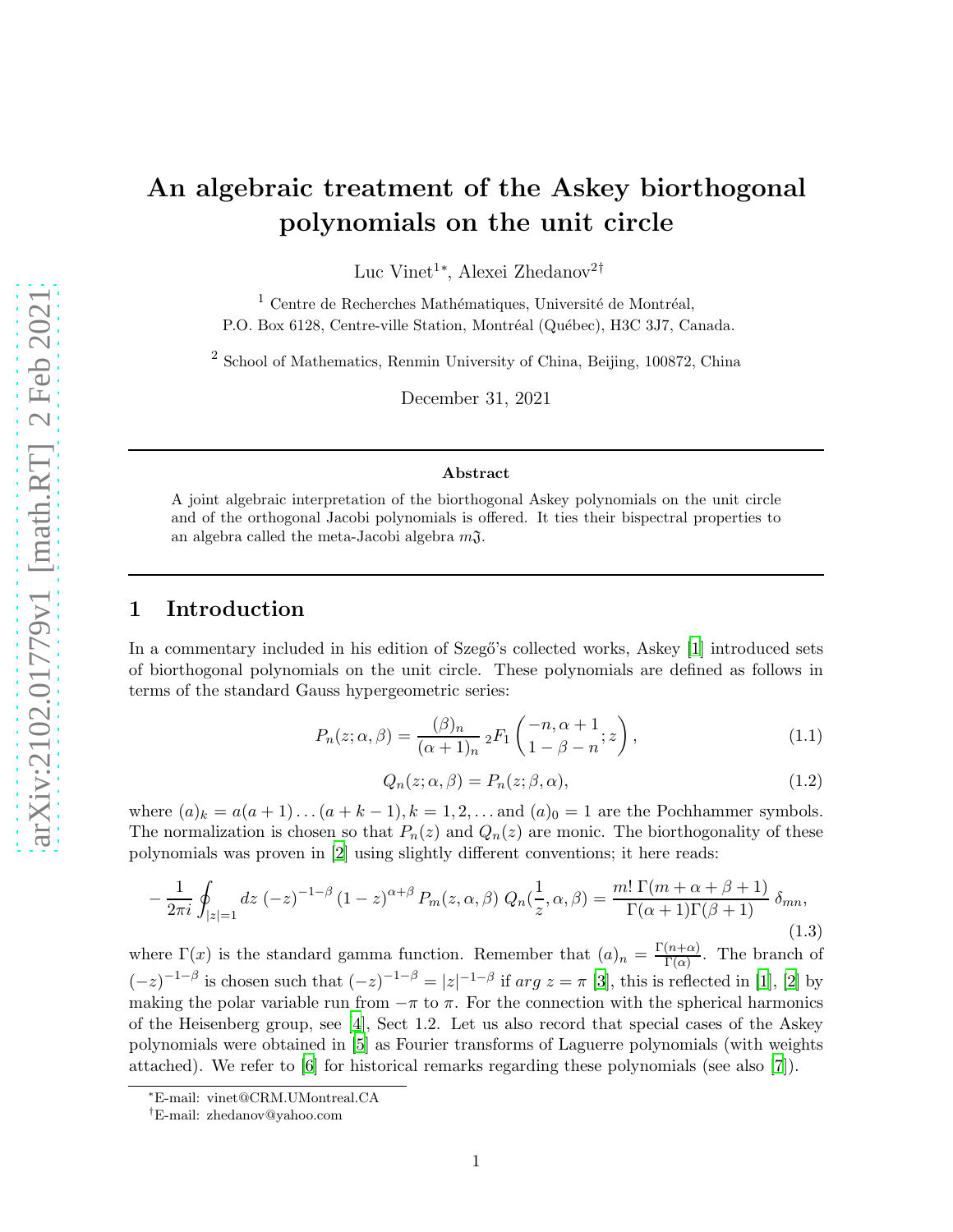# An algebraic treatment of the Askey biorthogonal polynomials on the unit circle

Luc Vinet<sup>1</sup><sup>\*</sup>, Alexei Zhedanov<sup>2†</sup>

 $1$  Centre de Recherches Mathématiques, Université de Montréal, P.O. Box 6128, Centre-ville Station, Montréal (Québec), H3C 3J7, Canada.

<sup>2</sup> School of Mathematics, Renmin University of China, Beijing, 100872, China

December 31, 2021

#### Abstract

A joint algebraic interpretation of the biorthogonal Askey polynomials on the unit circle and of the orthogonal Jacobi polynomials is offered. It ties their bispectral properties to an algebra called the meta-Jacobi algebra  $m\mathfrak{J}$ .

## 1 Introduction

In a commentary included in his edition of Szegő's collected works, Askey [\[1\]](#page-26-0) introduced sets of biorthogonal polynomials on the unit circle. These polynomials are defined as follows in terms of the standard Gauss hypergeometric series:

<span id="page-0-0"></span>
$$
P_n(z; \alpha, \beta) = \frac{(\beta)_n}{(\alpha + 1)_n} {}_2F_1\left(\begin{matrix} -n, \alpha + 1 \\ 1 - \beta - n \end{matrix}; z\right),\tag{1.1}
$$

<span id="page-0-1"></span>
$$
Q_n(z; \alpha, \beta) = P_n(z; \beta, \alpha), \qquad (1.2)
$$

where  $(a)_k = a(a+1)\dots(a+k-1), k = 1, 2, \dots$  and  $(a)_0 = 1$  are the Pochhammer symbols. The normalization is chosen so that  $P_n(z)$  and  $Q_n(z)$  are monic. The biorthogonality of these polynomials was proven in [\[2](#page-26-1)] using slightly different conventions; it here reads:

<span id="page-0-2"></span>
$$
-\frac{1}{2\pi i}\oint_{|z|=1}dz\ (-z)^{-1-\beta}\left(1-z\right)^{\alpha+\beta}P_m(z,\alpha,\beta)\ Q_n(\frac{1}{z},\alpha,\beta)=\frac{m!\ \Gamma(m+\alpha+\beta+1)}{\Gamma(\alpha+1)\Gamma(\beta+1)}\ \delta_{mn},\tag{1.3}
$$

where  $\Gamma(x)$  is the standard gamma function. Remember that  $(a)_n = \frac{\Gamma(n+\alpha)}{\Gamma(\alpha)}$  $\frac{(n+\alpha)}{\Gamma(\alpha)}$ . The branch of  $(-z)^{-1-\beta}$  is chosen such that  $(-z)^{-1-\beta} = |z|^{-1-\beta}$  if  $arg z = \pi$  [\[3](#page-26-2)], this is reflected in [\[1\]](#page-26-0), [\[2](#page-26-1)] by making the polar variable run from  $-\pi$  to  $\pi$ . For the connection with the spherical harmonics of the Heisenberg group, see [\[4](#page-26-3)], Sect 1.2. Let us also record that special cases of the Askey polynomials were obtained in [\[5](#page-26-4)] as Fourier transforms of Laguerre polynomials (with weights attached). We refer to [\[6\]](#page-26-5) for historical remarks regarding these polynomials (see also [\[7](#page-26-6)]).

<sup>∗</sup>E-mail: vinet@CRM.UMontreal.CA

<sup>†</sup>E-mail: zhedanov@yahoo.com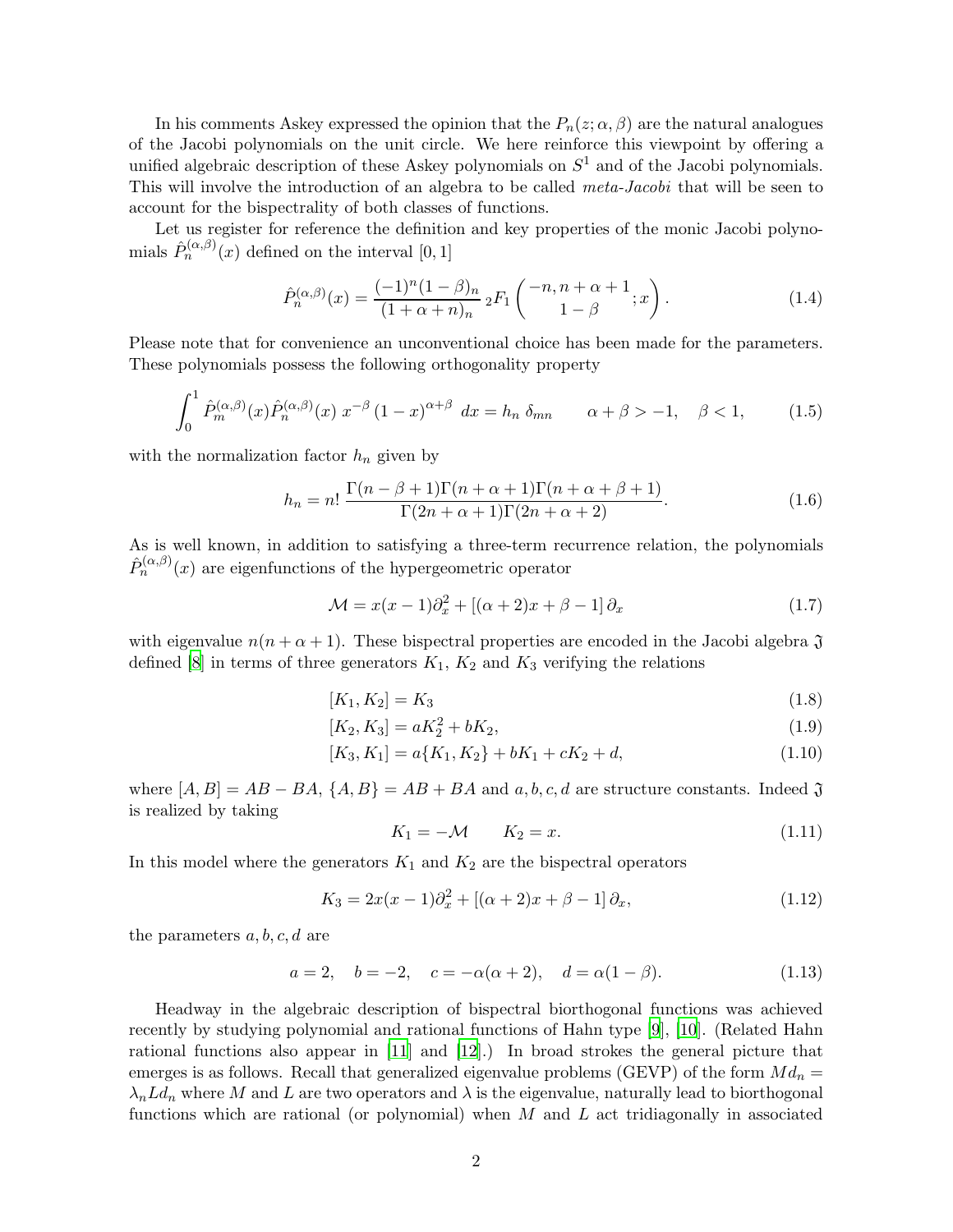In his comments Askey expressed the opinion that the  $P_n(z; \alpha, \beta)$  are the natural analogues of the Jacobi polynomials on the unit circle. We here reinforce this viewpoint by offering a unified algebraic description of these Askey polynomials on  $S<sup>1</sup>$  and of the Jacobi polynomials. This will involve the introduction of an algebra to be called *meta-Jacobi* that will be seen to account for the bispectrality of both classes of functions.

Let us register for reference the definition and key properties of the monic Jacobi polynomials  $\hat{P}_n^{(\alpha,\beta)}(x)$  defined on the interval  $[0,1]$ 

<span id="page-1-3"></span>
$$
\hat{P}_n^{(\alpha,\beta)}(x) = \frac{(-1)^n (1-\beta)_n}{(1+\alpha+n)_n} {}_2F_1\left(\begin{matrix} -n, n+\alpha+1 \\ 1-\beta \end{matrix}; x\right).
$$
\n(1.4)

Please note that for convenience an unconventional choice has been made for the parameters. These polynomials possess the following orthogonality property

<span id="page-1-5"></span>
$$
\int_0^1 \hat{P}_m^{(\alpha,\beta)}(x) \hat{P}_n^{(\alpha,\beta)}(x) x^{-\beta} (1-x)^{\alpha+\beta} dx = h_n \delta_{mn} \qquad \alpha + \beta > -1, \quad \beta < 1,
$$
 (1.5)

with the normalization factor  $h_n$  given by

<span id="page-1-4"></span>
$$
h_n = n! \frac{\Gamma(n - \beta + 1)\Gamma(n + \alpha + 1)\Gamma(n + \alpha + \beta + 1)}{\Gamma(2n + \alpha + 1)\Gamma(2n + \alpha + 2)}.
$$
\n(1.6)

As is well known, in addition to satisfying a three-term recurrence relation, the polynomials  $\hat{P}_n^{(\alpha,\beta)}(x)$  are eigenfunctions of the hypergeometric operator

<span id="page-1-6"></span>
$$
\mathcal{M} = x(x-1)\partial_x^2 + [(\alpha+2)x + \beta - 1]\partial_x \tag{1.7}
$$

with eigenvalue  $n(n + \alpha + 1)$ . These bispectral properties are encoded in the Jacobi algebra  $\mathfrak{J}$ defined  $[8]$  in terms of three generators  $K_1, K_2$  and  $K_3$  verifying the relations

$$
[K_1, K_2] = K_3 \tag{1.8}
$$

$$
[K_2, K_3] = aK_2^2 + bK_2, \tag{1.9}
$$

$$
[K_3, K_1] = a\{K_1, K_2\} + bK_1 + cK_2 + d,\tag{1.10}
$$

where  $[A, B] = AB - BA$ ,  $\{A, B\} = AB + BA$  and  $a, b, c, d$  are structure constants. Indeed  $\mathfrak{J}$ is realized by taking

<span id="page-1-2"></span><span id="page-1-1"></span><span id="page-1-0"></span>
$$
K_1 = -\mathcal{M} \qquad K_2 = x. \tag{1.11}
$$

In this model where the generators  $K_1$  and  $K_2$  are the bispectral operators

$$
K_3 = 2x(x-1)\partial_x^2 + [(\alpha+2)x + \beta - 1]\partial_x,
$$
\n(1.12)

the parameters  $a, b, c, d$  are

$$
a = 2, \quad b = -2, \quad c = -\alpha(\alpha + 2), \quad d = \alpha(1 - \beta).
$$
 (1.13)

Headway in the algebraic description of bispectral biorthogonal functions was achieved recently by studying polynomial and rational functions of Hahn type [\[9](#page-26-8)], [\[10\]](#page-26-9). (Related Hahn rational functions also appear in [\[11](#page-26-10)] and [\[12\]](#page-26-11).) In broad strokes the general picture that emerges is as follows. Recall that generalized eigenvalue problems (GEVP) of the form  $Md_n =$  $\lambda_n L d_n$  where M and L are two operators and  $\lambda$  is the eigenvalue, naturally lead to biorthogonal functions which are rational (or polynomial) when  $M$  and  $L$  act tridiagonally in associated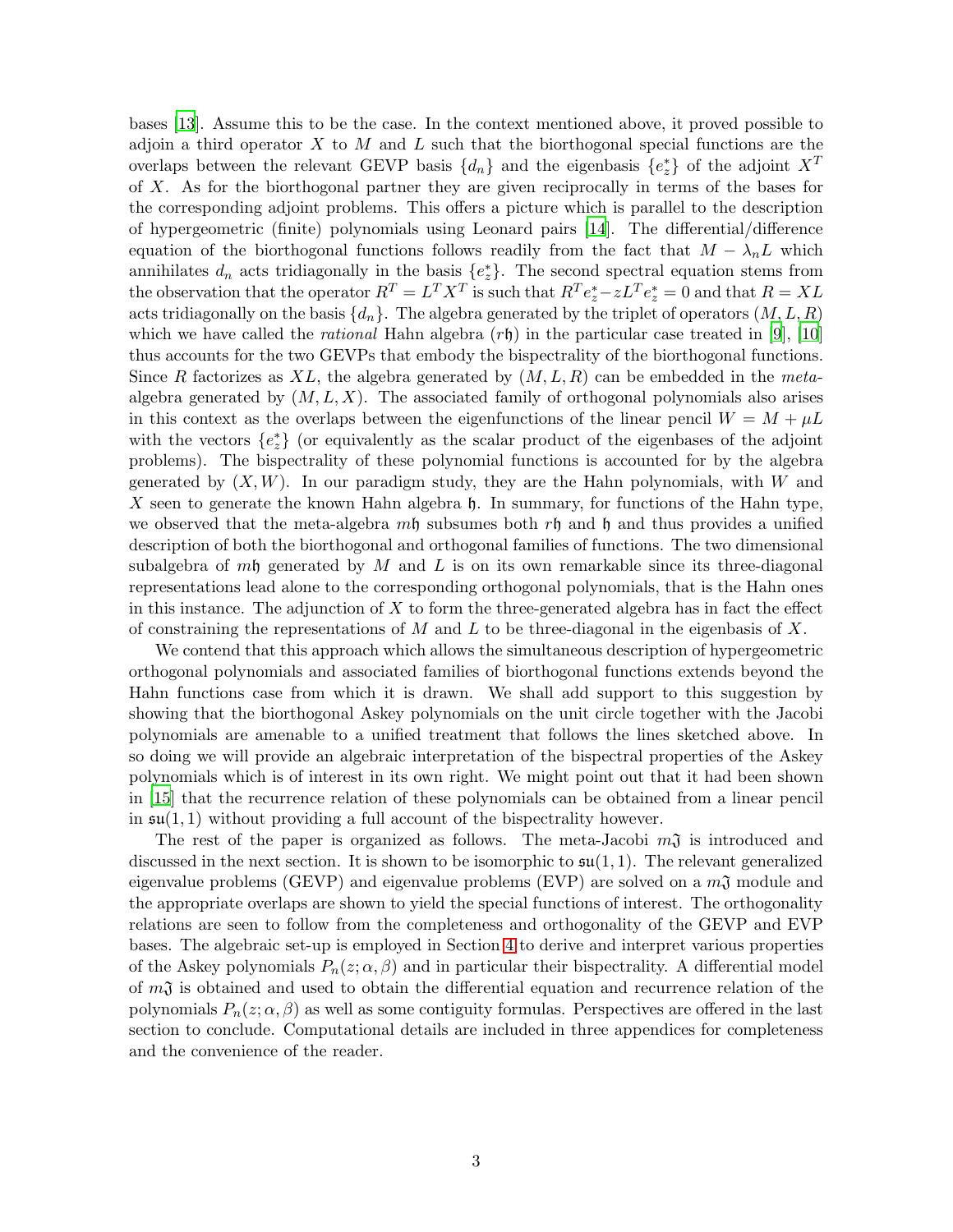bases [\[13](#page-27-0)]. Assume this to be the case. In the context mentioned above, it proved possible to adjoin a third operator  $X$  to  $M$  and  $L$  such that the biorthogonal special functions are the overlaps between the relevant GEVP basis  $\{d_n\}$  and the eigenbasis  $\{e_z^*\}$  of the adjoint  $X^T$ of X. As for the biorthogonal partner they are given reciprocally in terms of the bases for the corresponding adjoint problems. This offers a picture which is parallel to the description of hypergeometric (finite) polynomials using Leonard pairs [\[14](#page-27-1)]. The differential/difference equation of the biorthogonal functions follows readily from the fact that  $M - \lambda_n L$  which annihilates  $d_n$  acts tridiagonally in the basis  $\{e_z^*\}$ . The second spectral equation stems from the observation that the operator  $R^T = L^T X^T$  is such that  $R^T e_z^* - z L^T e_z^* = 0$  and that  $R = XL$ acts tridiagonally on the basis  $\{d_n\}$ . The algebra generated by the triplet of operators  $(M, L, R)$ which we have called the *rational* Hahn algebra  $(r<sub>h</sub>)$  in the particular case treated in [\[9](#page-26-8)], [\[10](#page-26-9)] thus accounts for the two GEVPs that embody the bispectrality of the biorthogonal functions. Since R factorizes as XL, the algebra generated by  $(M, L, R)$  can be embedded in the metaalgebra generated by  $(M, L, X)$ . The associated family of orthogonal polynomials also arises in this context as the overlaps between the eigenfunctions of the linear pencil  $W = M + \mu L$ with the vectors  $\{e^*_z\}$  (or equivalently as the scalar product of the eigenbases of the adjoint problems). The bispectrality of these polynomial functions is accounted for by the algebra generated by  $(X, W)$ . In our paradigm study, they are the Hahn polynomials, with W and X seen to generate the known Hahn algebra  $\mathfrak h$ . In summary, for functions of the Hahn type, we observed that the meta-algebra  $m\mathfrak{h}$  subsumes both  $r\mathfrak{h}$  and  $\mathfrak{h}$  and thus provides a unified description of both the biorthogonal and orthogonal families of functions. The two dimensional subalgebra of mh generated by M and L is on its own remarkable since its three-diagonal representations lead alone to the corresponding orthogonal polynomials, that is the Hahn ones in this instance. The adjunction of  $X$  to form the three-generated algebra has in fact the effect of constraining the representations of M and L to be three-diagonal in the eigenbasis of X.

We contend that this approach which allows the simultaneous description of hypergeometric orthogonal polynomials and associated families of biorthogonal functions extends beyond the Hahn functions case from which it is drawn. We shall add support to this suggestion by showing that the biorthogonal Askey polynomials on the unit circle together with the Jacobi polynomials are amenable to a unified treatment that follows the lines sketched above. In so doing we will provide an algebraic interpretation of the bispectral properties of the Askey polynomials which is of interest in its own right. We might point out that it had been shown in [\[15\]](#page-27-2) that the recurrence relation of these polynomials can be obtained from a linear pencil in  $\mathfrak{su}(1,1)$  without providing a full account of the bispectrality however.

The rest of the paper is organized as follows. The meta-Jacobi  $m<sub>1</sub>$  is introduced and discussed in the next section. It is shown to be isomorphic to  $\mathfrak{su}(1,1)$ . The relevant generalized eigenvalue problems (GEVP) and eigenvalue problems (EVP) are solved on a  $m<sub>1</sub>$  module and the appropriate overlaps are shown to yield the special functions of interest. The orthogonality relations are seen to follow from the completeness and orthogonality of the GEVP and EVP bases. The algebraic set-up is employed in Section [4](#page-15-0) to derive and interpret various properties of the Askey polynomials  $P_n(z; \alpha, \beta)$  and in particular their bispectrality. A differential model of  $m<sub>1</sub>$  is obtained and used to obtain the differential equation and recurrence relation of the polynomials  $P_n(z; \alpha, \beta)$  as well as some contiguity formulas. Perspectives are offered in the last section to conclude. Computational details are included in three appendices for completeness and the convenience of the reader.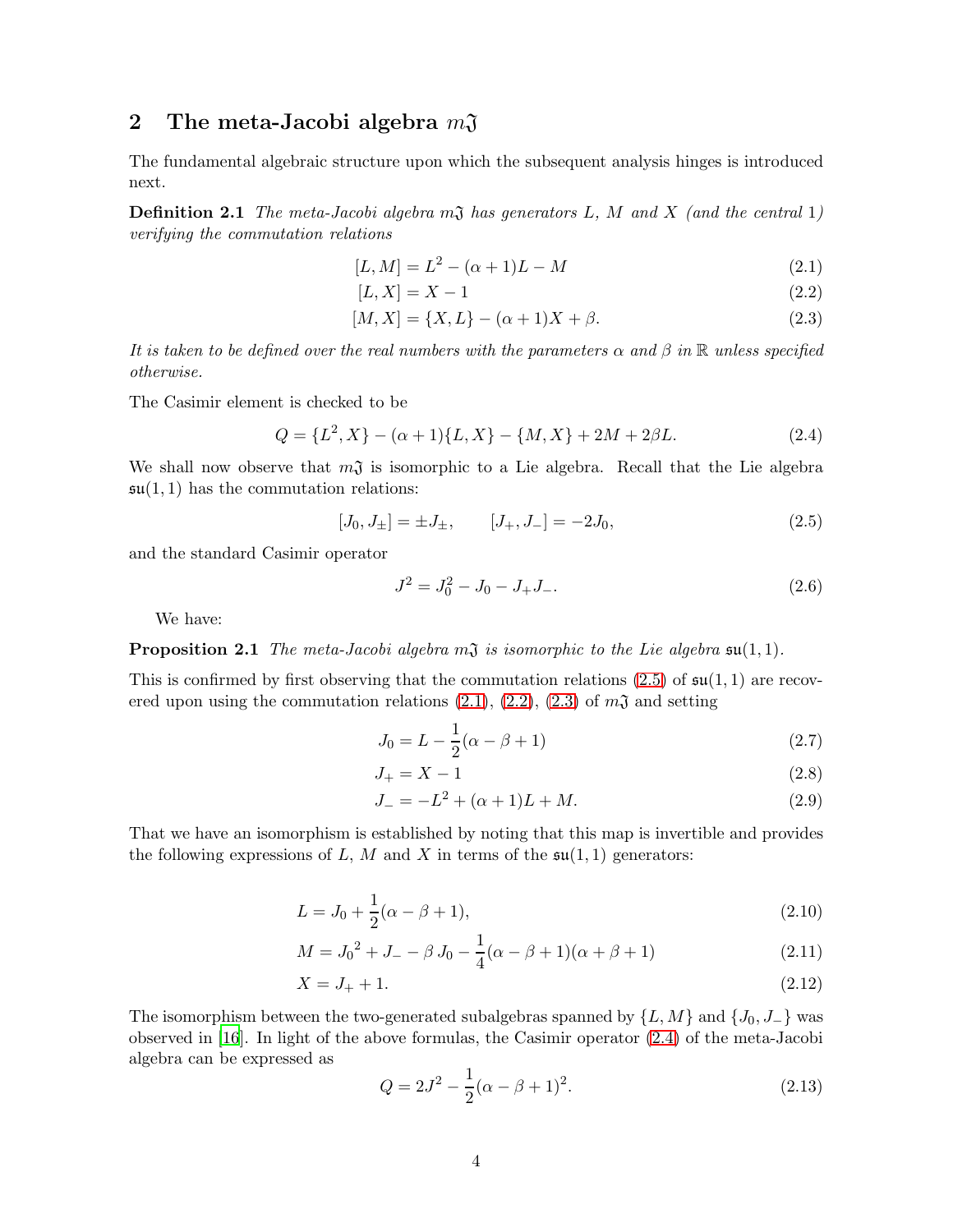## 2 The meta-Jacobi algebra  $m\mathfrak{J}$

The fundamental algebraic structure upon which the subsequent analysis hinges is introduced next.

**Definition 2.1** The meta-Jacobi algebra  $m\mathfrak{J}$  has generators L, M and X (and the central 1) verifying the commutation relations

$$
[L,M] = L^2 - (\alpha + 1)L - M \tag{2.1}
$$

<span id="page-3-3"></span><span id="page-3-2"></span><span id="page-3-1"></span>
$$
[L, X] = X - 1 \tag{2.2}
$$

$$
[M, X] = \{X, L\} - (\alpha + 1)X + \beta.
$$
\n(2.3)

It is taken to be defined over the real numbers with the parameters  $\alpha$  and  $\beta$  in  $\mathbb R$  unless specified otherwise.

The Casimir element is checked to be

<span id="page-3-4"></span>
$$
Q = \{L^2, X\} - (\alpha + 1)\{L, X\} - \{M, X\} + 2M + 2\beta L.
$$
 (2.4)

We shall now observe that  $m\mathfrak{J}$  is isomorphic to a Lie algebra. Recall that the Lie algebra  $\mathfrak{su}(1,1)$  has the commutation relations:

<span id="page-3-0"></span>
$$
[J_0, J_{\pm}] = \pm J_{\pm}, \qquad [J_+, J_-] = -2J_0,\tag{2.5}
$$

and the standard Casimir operator

$$
J^2 = J_0^2 - J_0 - J_+ J_-.
$$
\n(2.6)

We have:

**Proposition 2.1** The meta-Jacobi algebra  $m\mathfrak{J}$  is isomorphic to the Lie algebra  $\mathfrak{su}(1,1)$ .

This is confirmed by first observing that the commutation relations  $(2.5)$  of  $\mathfrak{su}(1,1)$  are recovered upon using the commutation relations  $(2.1), (2.2), (2.3)$  $(2.1), (2.2), (2.3)$  $(2.1), (2.2), (2.3)$  $(2.1), (2.2), (2.3)$  of  $m\mathfrak{J}$  and setting

$$
J_0 = L - \frac{1}{2}(\alpha - \beta + 1)
$$
\n(2.7)

$$
J_{+} = X - 1 \tag{2.8}
$$

<span id="page-3-6"></span>
$$
J_- = -L^2 + (\alpha + 1)L + M.
$$
\n(2.9)

That we have an isomorphism is established by noting that this map is invertible and provides the following expressions of L, M and X in terms of the  $\mathfrak{su}(1,1)$  generators:

$$
L = J_0 + \frac{1}{2}(\alpha - \beta + 1),
$$
\n(2.10)

$$
M = J_0^2 + J_- - \beta J_0 - \frac{1}{4}(\alpha - \beta + 1)(\alpha + \beta + 1)
$$
 (2.11)

$$
X = J_+ + 1.\t(2.12)
$$

The isomorphism between the two-generated subalgebras spanned by  $\{L, M\}$  and  $\{J_0, J_-\}$  was observed in [\[16\]](#page-27-3). In light of the above formulas, the Casimir operator [\(2.4\)](#page-3-4) of the meta-Jacobi algebra can be expressed as

<span id="page-3-8"></span><span id="page-3-7"></span><span id="page-3-5"></span>
$$
Q = 2J^2 - \frac{1}{2}(\alpha - \beta + 1)^2.
$$
\n(2.13)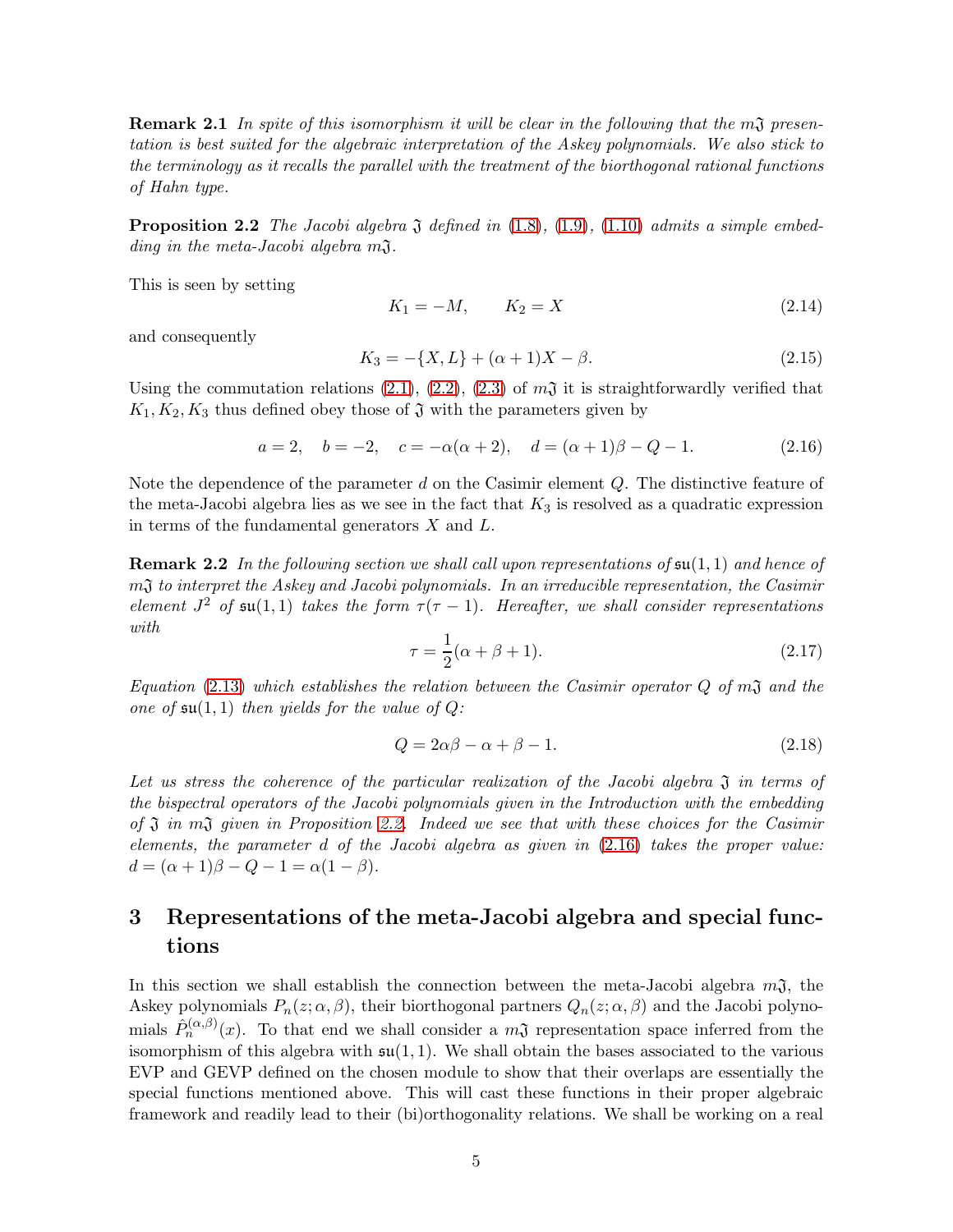**Remark 2.1** In spite of this isomorphism it will be clear in the following that the m $\mathfrak{J}$  presentation is best suited for the algebraic interpretation of the Askey polynomials. We also stick to the terminology as it recalls the parallel with the treatment of the biorthogonal rational functions of Hahn type.

<span id="page-4-0"></span>**Proposition 2.2** The Jacobi algebra  $\mathfrak J$  defined in [\(1.8\)](#page-1-0), [\(1.9\)](#page-1-1), [\(1.10\)](#page-1-2) admits a simple embedding in the meta-Jacobi algebra  $m<sub>1</sub>$ .

This is seen by setting

$$
K_1 = -M, \qquad K_2 = X \tag{2.14}
$$

and consequently

$$
K_3 = -\{X, L\} + (\alpha + 1)X - \beta.
$$
\n(2.15)

Using the commutation relations  $(2.1)$ ,  $(2.2)$ ,  $(2.3)$  of  $m<sub>3</sub>$  it is straightforwardly verified that  $K_1, K_2, K_3$  thus defined obey those of  $\mathfrak J$  with the parameters given by

<span id="page-4-1"></span>
$$
a = 2, \quad b = -2, \quad c = -\alpha(\alpha + 2), \quad d = (\alpha + 1)\beta - Q - 1.
$$
 (2.16)

Note the dependence of the parameter d on the Casimir element Q. The distinctive feature of the meta-Jacobi algebra lies as we see in the fact that  $K_3$  is resolved as a quadratic expression in terms of the fundamental generators  $X$  and  $L$ .

**Remark 2.2** In the following section we shall call upon representations of  $\mathfrak{su}(1,1)$  and hence of mJ to interpret the Askey and Jacobi polynomials. In an irreducible representation, the Casimir element  $J^2$  of  $\mathfrak{su}(1,1)$  takes the form  $\tau(\tau-1)$ . Hereafter, we shall consider representations with

$$
\tau = \frac{1}{2}(\alpha + \beta + 1). \tag{2.17}
$$

Equation [\(2.13\)](#page-3-5) which establishes the relation between the Casimir operator  $Q$  of  $m\mathfrak{J}$  and the one of  $\mathfrak{su}(1,1)$  then yields for the value of Q:

$$
Q = 2\alpha\beta - \alpha + \beta - 1. \tag{2.18}
$$

Let us stress the coherence of the particular realization of the Jacobi algebra  $\mathfrak{J}$  in terms of the bispectral operators of the Jacobi polynomials given in the Introduction with the embedding of  $\mathfrak J$  in  $m\mathfrak J$  given in Proposition [2.2.](#page-4-0) Indeed we see that with these choices for the Casimir elements, the parameter d of the Jacobi algebra as given in [\(2.16\)](#page-4-1) takes the proper value:  $d = (\alpha + 1)\beta - Q - 1 = \alpha(1 - \beta).$ 

# 3 Representations of the meta-Jacobi algebra and special functions

In this section we shall establish the connection between the meta-Jacobi algebra  $m\mathfrak{J}$ , the Askey polynomials  $P_n(z; \alpha, \beta)$ , their biorthogonal partners  $Q_n(z; \alpha, \beta)$  and the Jacobi polynomials  $\hat{P}_n^{(\alpha,\beta)}(x)$ . To that end we shall consider a  $m\mathfrak{J}$  representation space inferred from the isomorphism of this algebra with  $\mathfrak{su}(1,1)$ . We shall obtain the bases associated to the various EVP and GEVP defined on the chosen module to show that their overlaps are essentially the special functions mentioned above. This will cast these functions in their proper algebraic framework and readily lead to their (bi)orthogonality relations. We shall be working on a real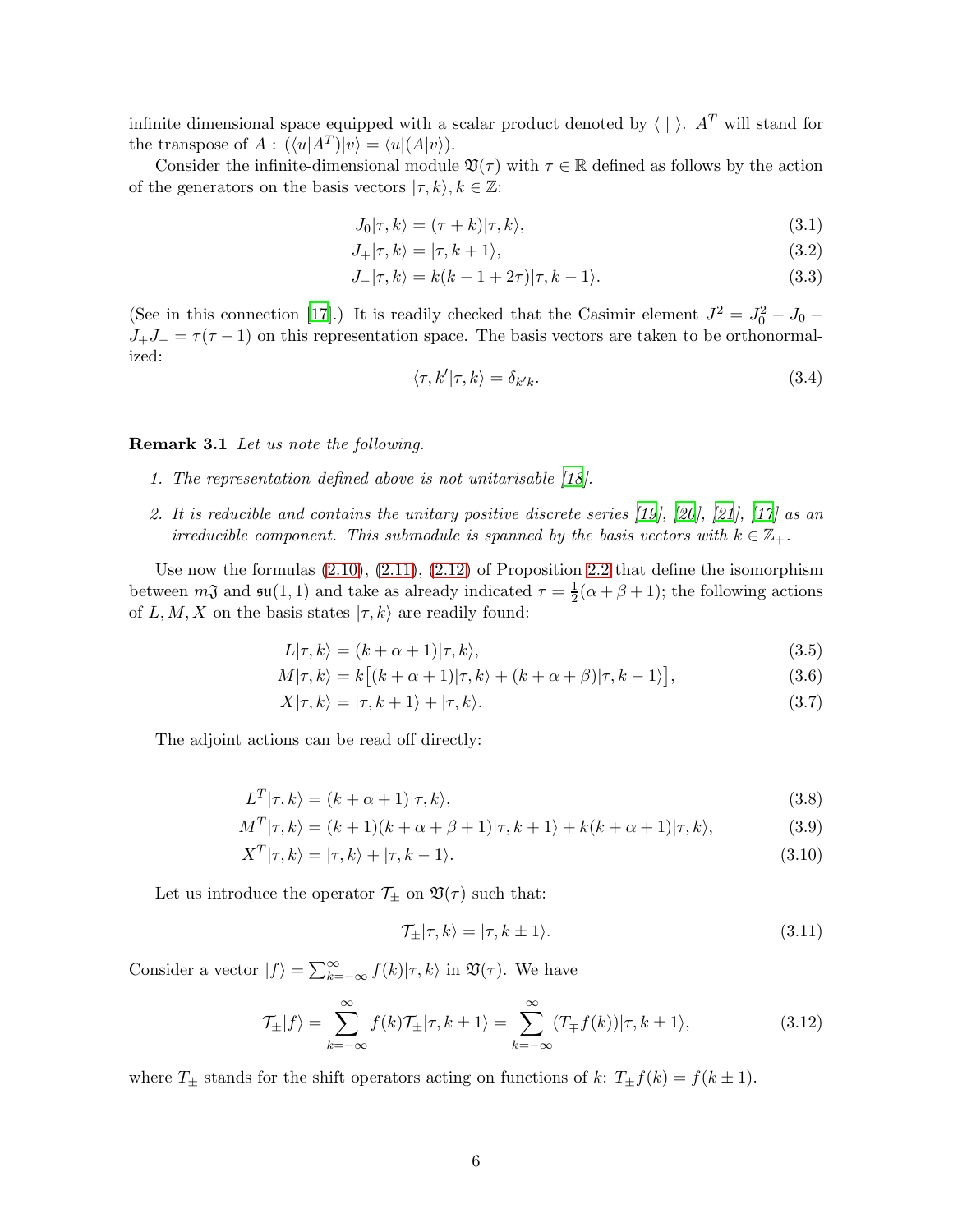infinite dimensional space equipped with a scalar product denoted by  $\langle \cdot | \cdot \rangle$ . A<sup>T</sup> will stand for the transpose of  $A: (\langle u|A^T)|v\rangle = \langle u|(A|v\rangle).$ 

Consider the infinite-dimensional module  $\mathfrak{V}(\tau)$  with  $\tau \in \mathbb{R}$  defined as follows by the action of the generators on the basis vectors  $|\tau, k\rangle, k \in \mathbb{Z}$ :

$$
J_0|\tau,k\rangle = (\tau+k)|\tau,k\rangle,\tag{3.1}
$$

$$
J_{+}|\tau,k\rangle = |\tau,k+1\rangle, \tag{3.2}
$$

$$
J_-|\tau, k\rangle = k(k - 1 + 2\tau)|\tau, k - 1\rangle.
$$
\n(3.3)

(See in this connection [\[17\]](#page-27-4).) It is readily checked that the Casimir element  $J^2 = J_0^2 - J_0$  –  $J_{+}J_{-} = \tau(\tau - 1)$  on this representation space. The basis vectors are taken to be orthonormalized:

<span id="page-5-3"></span>
$$
\langle \tau, k' | \tau, k \rangle = \delta_{k'k}.\tag{3.4}
$$

Remark 3.1 Let us note the following.

- 1. The representation defined above is not unitarisable [\[18](#page-27-5)].
- 2. It is reducible and contains the unitary positive discrete series [\[19\]](#page-27-6), [\[20\]](#page-27-7), [\[21\]](#page-27-8), [\[17\]](#page-27-4) as an irreducible component. This submodule is spanned by the basis vectors with  $k \in \mathbb{Z}_+$ .

Use now the formulas  $(2.10), (2.11), (2.12)$  $(2.10), (2.11), (2.12)$  $(2.10), (2.11), (2.12)$  $(2.10), (2.11), (2.12)$  of Proposition [2.2](#page-4-0) that define the isomorphism between  $m\mathfrak{J}$  and  $\mathfrak{su}(1,1)$  and take as already indicated  $\tau = \frac{1}{2}$  $\frac{1}{2}(\alpha + \beta + 1)$ ; the following actions of L, M, X on the basis states  $|\tau, k\rangle$  are readily found:

$$
L|\tau, k\rangle = (k + \alpha + 1)|\tau, k\rangle,\tag{3.5}
$$

$$
M|\tau, k\rangle = k[(k+\alpha+1)|\tau, k\rangle + (k+\alpha+\beta)|\tau, k-1\rangle],
$$
\n(3.6)

$$
X|\tau,k\rangle = |\tau,k+1\rangle + |\tau,k\rangle. \tag{3.7}
$$

The adjoint actions can be read off directly:

$$
L^T|\tau, k\rangle = (k + \alpha + 1)|\tau, k\rangle,\tag{3.8}
$$

$$
M^T|\tau,k\rangle = (k+1)(k+\alpha+\beta+1)|\tau,k+1\rangle + k(k+\alpha+1)|\tau,k\rangle,
$$
\n(3.9)

$$
X^T|\tau,k\rangle = |\tau,k\rangle + |\tau,k-1\rangle. \tag{3.10}
$$

Let us introduce the operator  $\mathcal{T}_{\pm}$  on  $\mathfrak{V}(\tau)$  such that:

<span id="page-5-6"></span><span id="page-5-5"></span><span id="page-5-4"></span><span id="page-5-2"></span><span id="page-5-1"></span><span id="page-5-0"></span>
$$
\mathcal{T}_{\pm}|\tau,k\rangle = |\tau,k\pm1\rangle. \tag{3.11}
$$

Consider a vector  $|f\rangle = \sum_{k=-\infty}^{\infty} f(k)|\tau, k\rangle$  in  $\mathfrak{V}(\tau)$ . We have

$$
\mathcal{T}_{\pm}|f\rangle = \sum_{k=-\infty}^{\infty} f(k)\mathcal{T}_{\pm}|\tau, k \pm 1\rangle = \sum_{k=-\infty}^{\infty} (T_{\mp}f(k))|\tau, k \pm 1\rangle,
$$
\n(3.12)

where  $T_{\pm}$  stands for the shift operators acting on functions of k:  $T_{\pm}f(k) = f(k \pm 1)$ .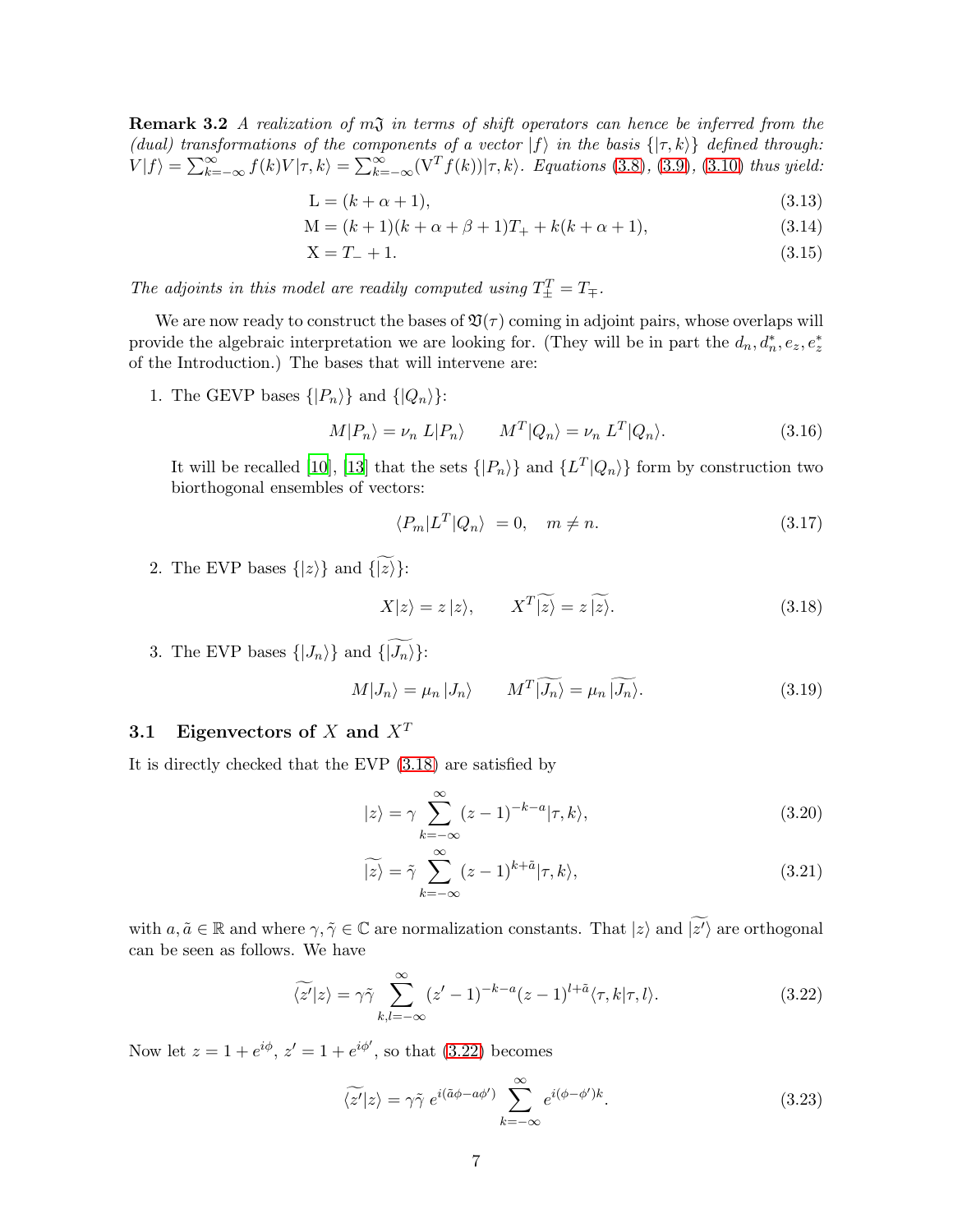**Remark 3.2** A realization of  $m\mathfrak{J}$  in terms of shift operators can hence be inferred from the (dual) transformations of the components of a vector  $|f\rangle$  in the basis  $\{|\tau, k\rangle\}$  defined through:  $V|f\rangle = \sum_{k=-\infty}^{\infty} f(k)V|\tau, k\rangle = \sum_{k=-\infty}^{\infty} (V^T f(k))|\tau, k\rangle$ . Equations [\(3.8\)](#page-5-0), [\(3.9\)](#page-5-1), [\(3.10\)](#page-5-2) thus yield:

$$
L = (k + \alpha + 1),\tag{3.13}
$$

$$
M = (k+1)(k+\alpha+\beta+1)T_{+} + k(k+\alpha+1),
$$
\n(3.14)

$$
X = T_{-} + 1. \tag{3.15}
$$

The adjoints in this model are readily computed using  $T_{\pm}^T = T_{\mp}$ .

We are now ready to construct the bases of  $\mathfrak{V}(\tau)$  coming in adjoint pairs, whose overlaps will provide the algebraic interpretation we are looking for. (They will be in part the  $d_n, d_n^*, e_z, e_z^*$ of the Introduction.) The bases that will intervene are:

1. The GEVP bases  $\{|P_n\rangle\}$  and  $\{|Q_n\rangle\}$ :

<span id="page-6-2"></span>
$$
M|P_n\rangle = \nu_n \ L|P_n\rangle \qquad M^T|Q_n\rangle = \nu_n \ L^T|Q_n\rangle. \tag{3.16}
$$

It will be recalled [\[10](#page-26-9)], [\[13](#page-27-0)] that the sets  $\{|P_n\rangle\}$  and  $\{L^T|Q_n\rangle\}$  form by construction two biorthogonal ensembles of vectors:

$$
\langle P_m | L^T | Q_n \rangle = 0, \quad m \neq n. \tag{3.17}
$$

2. The EVP bases  $\{|z\rangle\}$  and  $\{\widetilde{|z\rangle}\}$ :

<span id="page-6-0"></span>
$$
X|z\rangle = z|z\rangle, \qquad X^T|\widetilde{z}\rangle = z|\widetilde{z}\rangle. \tag{3.18}
$$

3. The EVP bases  $\{|J_n\rangle\}$  and  $\{\widetilde{|J_n\rangle}\}$ :

<span id="page-6-5"></span>
$$
M|J_n\rangle = \mu_n|J_n\rangle \qquad M^T|\widetilde{J_n}\rangle = \mu_n|\widetilde{J_n}\rangle. \tag{3.19}
$$

### 3.1 Eigenvectors of X and  $X<sup>T</sup>$

It is directly checked that the EVP [\(3.18\)](#page-6-0) are satisfied by

<span id="page-6-4"></span>
$$
|z\rangle = \gamma \sum_{k=-\infty}^{\infty} (z-1)^{-k-a} |\tau, k\rangle, \tag{3.20}
$$

<span id="page-6-3"></span>
$$
\widetilde{|z\rangle} = \widetilde{\gamma} \sum_{k=-\infty}^{\infty} (z-1)^{k+\widetilde{a}} |\tau, k\rangle,
$$
\n(3.21)

with  $a, \tilde{a} \in \mathbb{R}$  and where  $\gamma, \tilde{\gamma} \in \mathbb{C}$  are normalization constants. That  $|z\rangle$  and  $|z'\rangle$  are orthogonal can be seen as follows. We have

<span id="page-6-1"></span>
$$
\widetilde{\langle z'|z\rangle} = \gamma \widetilde{\gamma} \sum_{k,l=-\infty}^{\infty} (z'-1)^{-k-a} (z-1)^{l+\tilde{a}} \langle \tau, k | \tau, l \rangle.
$$
 (3.22)

Now let  $z = 1 + e^{i\phi}$ ,  $z' = 1 + e^{i\phi'}$ , so that [\(3.22\)](#page-6-1) becomes

$$
\widetilde{\langle z'|z\rangle} = \gamma \widetilde{\gamma} e^{i(\tilde{a}\phi - a\phi')} \sum_{k=-\infty}^{\infty} e^{i(\phi - \phi')k}.
$$
 (3.23)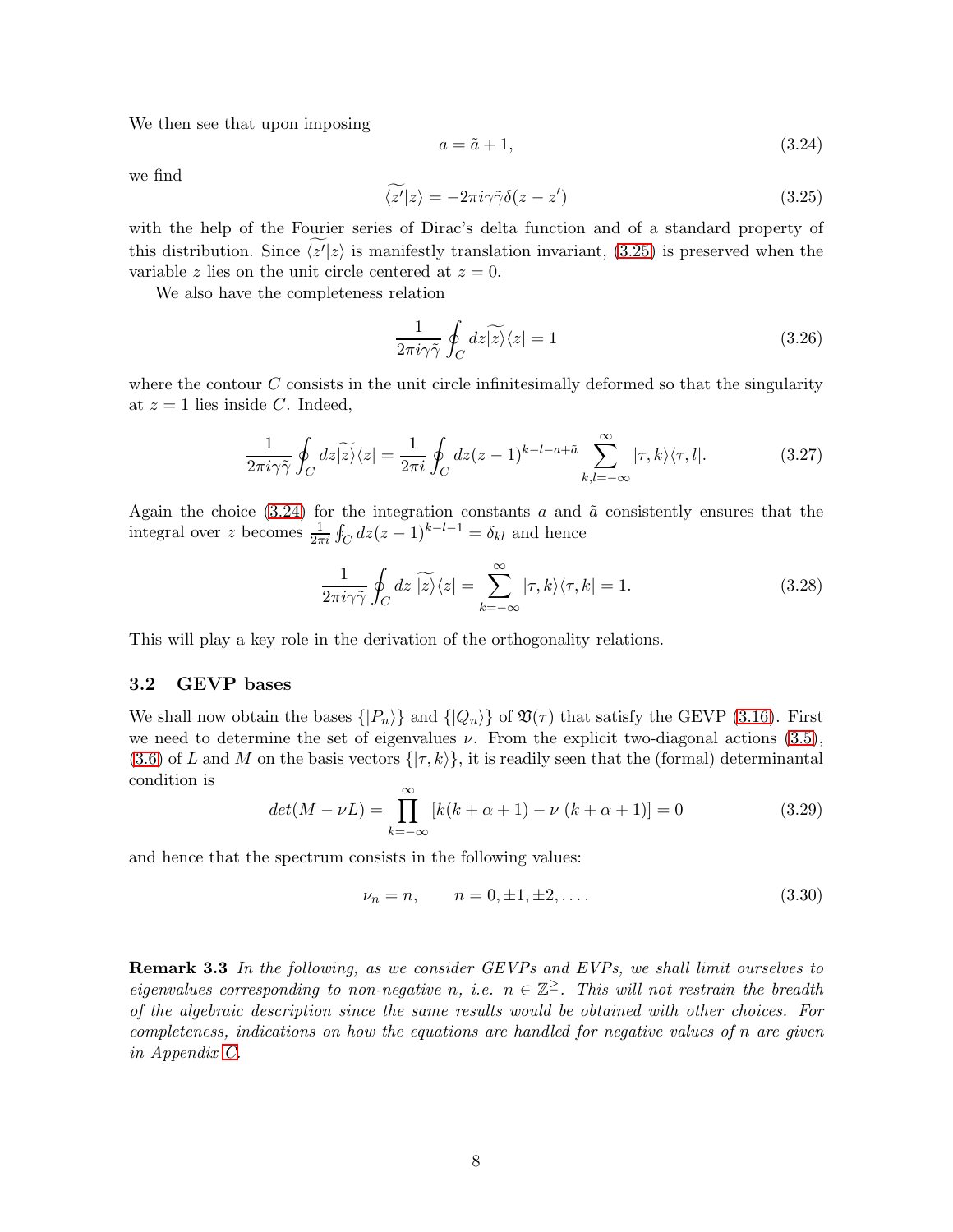We then see that upon imposing

<span id="page-7-1"></span>
$$
a = \tilde{a} + 1,\tag{3.24}
$$

we find

<span id="page-7-0"></span>
$$
\langle z'|z\rangle = -2\pi i \gamma \tilde{\gamma} \delta(z - z')
$$
\n(3.25)

with the help of the Fourier series of Dirac's delta function and of a standard property of this distribution. Since  $\langle z' | z \rangle$  is manifestly translation invariant, [\(3.25\)](#page-7-0) is preserved when the variable z lies on the unit circle centered at  $z = 0$ .

We also have the completeness relation

<span id="page-7-2"></span>
$$
\frac{1}{2\pi i\gamma\tilde{\gamma}}\oint_C dz|\widetilde{z}\rangle\langle z|=1\tag{3.26}
$$

where the contour  $C$  consists in the unit circle infinitesimally deformed so that the singularity at  $z = 1$  lies inside C. Indeed,

$$
\frac{1}{2\pi i\gamma\tilde{\gamma}}\oint_C dz\widetilde{|z\rangle}\langle z| = \frac{1}{2\pi i}\oint_C dz(z-1)^{k-l-a+\tilde{a}}\sum_{k,l=-\infty}^{\infty}|\tau,k\rangle\langle\tau,l|.
$$
 (3.27)

Again the choice  $(3.24)$  for the integration constants a and  $\tilde{a}$  consistently ensures that the integral over z becomes  $\frac{1}{2\pi i} \oint_C dz (z-1)^{k-l-1} = \delta_{kl}$  and hence

<span id="page-7-3"></span>
$$
\frac{1}{2\pi i\gamma\tilde{\gamma}}\oint_C dz\,\widetilde{|z\rangle}\langle z| = \sum_{k=-\infty}^{\infty} |\tau,k\rangle\langle\tau,k| = 1.
$$
\n(3.28)

This will play a key role in the derivation of the orthogonality relations.

#### 3.2 GEVP bases

We shall now obtain the bases  $\{|P_n\rangle\}$  and  $\{|Q_n\rangle\}$  of  $\mathfrak{V}(\tau)$  that satisfy the GEVP [\(3.16\)](#page-6-2). First we need to determine the set of eigenvalues  $\nu$ . From the explicit two-diagonal actions [\(3.5\)](#page-5-3),  $(3.6)$  of L and M on the basis vectors  $\{\tau, k\}$ , it is readily seen that the (formal) determinantal condition is

$$
det(M - \nu L) = \prod_{k=-\infty}^{\infty} [k(k + \alpha + 1) - \nu (k + \alpha + 1)] = 0
$$
 (3.29)

and hence that the spectrum consists in the following values:

$$
\nu_n = n, \qquad n = 0, \pm 1, \pm 2, \dots \tag{3.30}
$$

Remark 3.3 In the following, as we consider GEVPs and EVPs, we shall limit ourselves to eigenvalues corresponding to non-negative n, i.e.  $n \in \mathbb{Z}^{\ge}$ . This will not restrain the breadth of the algebraic description since the same results would be obtained with other choices. For completeness, indications on how the equations are handled for negative values of n are given in Appendix [C.](#page-24-0)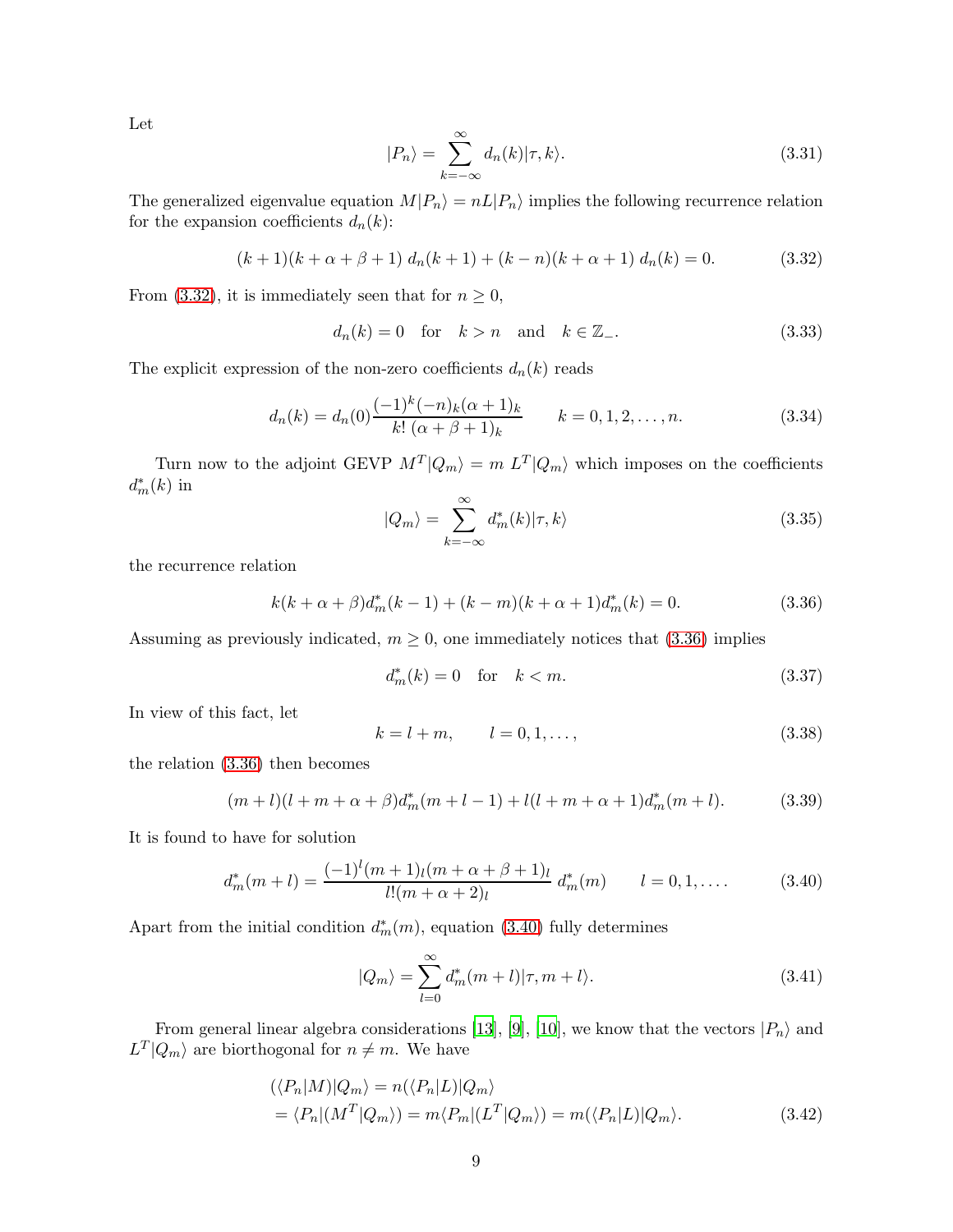Let

<span id="page-8-4"></span>
$$
|P_n\rangle = \sum_{k=-\infty}^{\infty} d_n(k) |\tau, k\rangle.
$$
 (3.31)

The generalized eigenvalue equation  $M|P_n\rangle = nL|P_n\rangle$  implies the following recurrence relation for the expansion coefficients  $d_n(k)$ :

<span id="page-8-0"></span>
$$
(k+1)(k+\alpha+\beta+1) d_n(k+1) + (k-n)(k+\alpha+1) d_n(k) = 0.
$$
 (3.32)

From [\(3.32\)](#page-8-0), it is immediately seen that for  $n \geq 0$ ,

$$
d_n(k) = 0 \quad \text{for} \quad k > n \quad \text{and} \quad k \in \mathbb{Z}_-\tag{3.33}
$$

The explicit expression of the non-zero coefficients  $d_n(k)$  reads

<span id="page-8-3"></span>
$$
d_n(k) = d_n(0) \frac{(-1)^k (-n)_k (\alpha + 1)_k}{k! (\alpha + \beta + 1)_k} \qquad k = 0, 1, 2, \dots, n. \tag{3.34}
$$

Turn now to the adjoint GEVP  $M^{T}|Q_{m}\rangle = m L^{T}|Q_{m}\rangle$  which imposes on the coefficients  $d_m^*(k)$  in

$$
|Q_m\rangle = \sum_{k=-\infty}^{\infty} d_m^*(k) |\tau, k\rangle \tag{3.35}
$$

the recurrence relation

<span id="page-8-1"></span>
$$
k(k+\alpha+\beta)d_m^*(k-1) + (k-m)(k+\alpha+1)d_m^*(k) = 0.
$$
\n(3.36)

Assuming as previously indicated,  $m \geq 0$ , one immediately notices that [\(3.36\)](#page-8-1) implies

$$
d_m^*(k) = 0 \quad \text{for} \quad k < m. \tag{3.37}
$$

In view of this fact, let

$$
k = l + m, \t l = 0, 1, ..., \t(3.38)
$$

the relation [\(3.36\)](#page-8-1) then becomes

$$
(m+l)(l+m+\alpha+\beta)d_m^*(m+l-1)+l(l+m+\alpha+1)d_m^*(m+l). \tag{3.39}
$$

It is found to have for solution

<span id="page-8-2"></span>
$$
d_m^*(m+l) = \frac{(-1)^l (m+1)_l (m+\alpha+\beta+1)_l}{l! (m+\alpha+2)_l} d_m^*(m) \qquad l = 0, 1, .... \qquad (3.40)
$$

Apart from the initial condition  $d_m^*(m)$ , equation [\(3.40\)](#page-8-2) fully determines

<span id="page-8-5"></span>
$$
|Q_m\rangle = \sum_{l=0}^{\infty} d_m^*(m+l)|\tau, m+l\rangle.
$$
 (3.41)

From general linear algebra considerations [\[13\]](#page-27-0), [\[9\]](#page-26-8), [\[10\]](#page-26-9), we know that the vectors  $|P_n\rangle$  and  $L^T|Q_m\rangle$  are biorthogonal for  $n \neq m$ . We have

$$
\langle \langle P_n | M \rangle | Q_m \rangle = n(\langle P_n | L) | Q_m \rangle
$$
  
=  $\langle P_n | (M^T | Q_m) \rangle = m \langle P_m | (L^T | Q_m) \rangle = m(\langle P_n | L) | Q_m \rangle.$  (3.42)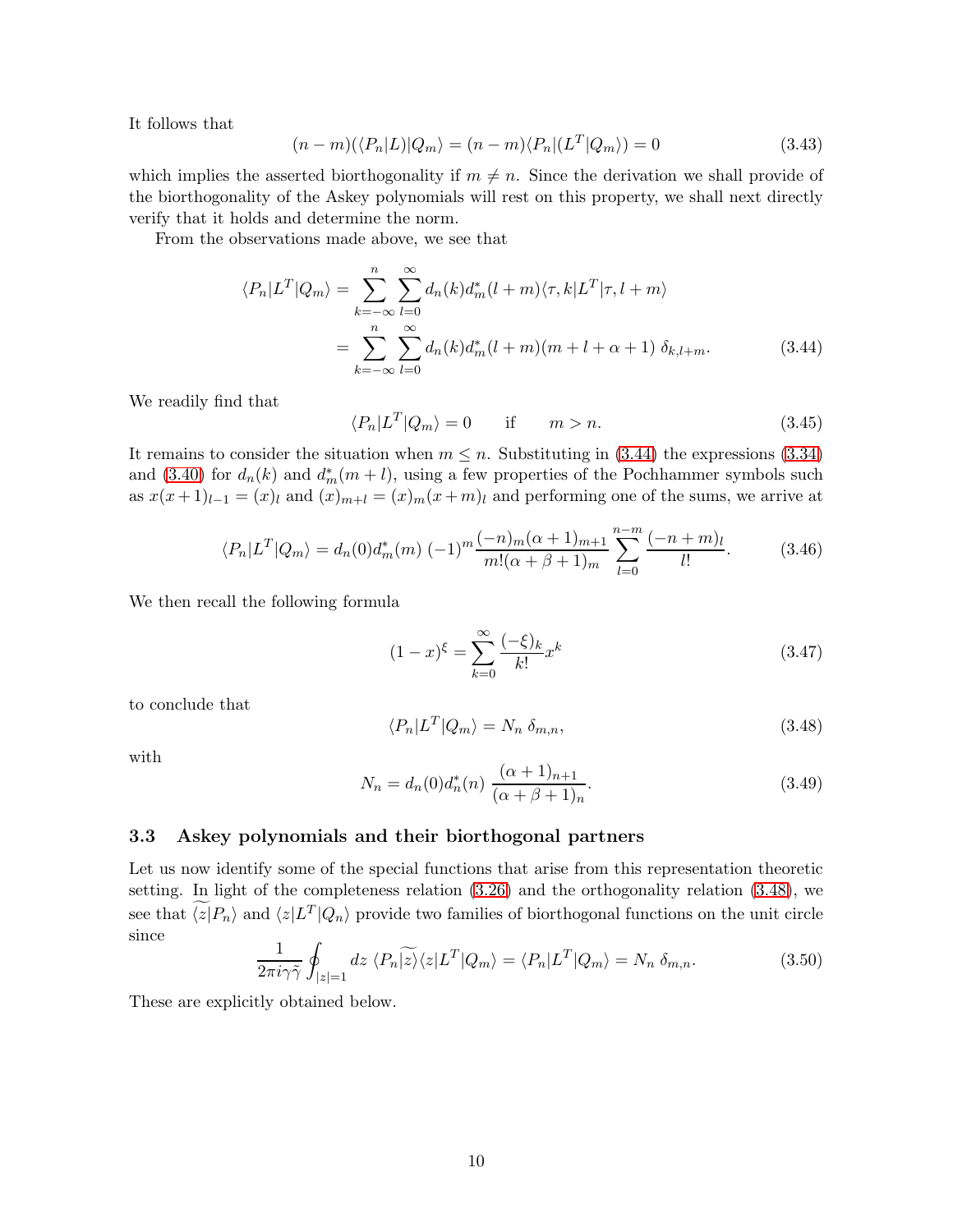It follows that

$$
(n-m)(\langle P_n|L)|Q_m\rangle = (n-m)\langle P_n|(L^T|Q_m\rangle) = 0
$$
\n(3.43)

which implies the asserted biorthogonality if  $m \neq n$ . Since the derivation we shall provide of the biorthogonality of the Askey polynomials will rest on this property, we shall next directly verify that it holds and determine the norm.

From the observations made above, we see that

$$
\langle P_n|L^T|Q_m\rangle = \sum_{k=-\infty}^n \sum_{l=0}^\infty d_n(k)d_m^*(l+m)\langle \tau, k|L^T|\tau, l+m\rangle
$$
  
= 
$$
\sum_{k=-\infty}^n \sum_{l=0}^\infty d_n(k)d_m^*(l+m)(m+l+\alpha+1)\delta_{k,l+m}.
$$
 (3.44)

We readily find that

<span id="page-9-0"></span>
$$
\langle P_n | L^T | Q_m \rangle = 0 \quad \text{if} \quad m > n. \tag{3.45}
$$

It remains to consider the situation when  $m \leq n$ . Substituting in [\(3.44\)](#page-9-0) the expressions [\(3.34\)](#page-8-3) and [\(3.40\)](#page-8-2) for  $d_n(k)$  and  $d_m^*(m+l)$ , using a few properties of the Pochhammer symbols such as  $x(x+1)_{l-1} = (x)_l$  and  $(x)_{m+l} = (x)_m(x+m)_l$  and performing one of the sums, we arrive at

$$
\langle P_n|L^T|Q_m\rangle = d_n(0)d_m^*(m) \; (-1)^m \frac{(-n)_m(\alpha+1)_{m+1}}{m!(\alpha+\beta+1)_m} \sum_{l=0}^{n-m} \frac{(-n+m)_l}{l!}.\tag{3.46}
$$

We then recall the following formula

$$
(1-x)^{\xi} = \sum_{k=0}^{\infty} \frac{(-\xi)_k}{k!} x^k
$$
\n(3.47)

to conclude that

<span id="page-9-1"></span>
$$
\langle P_n | L^T | Q_m \rangle = N_n \, \delta_{m,n},\tag{3.48}
$$

with

<span id="page-9-3"></span>
$$
N_n = d_n(0)d_n^*(n) \frac{(\alpha+1)_{n+1}}{(\alpha+\beta+1)_n}.
$$
\n(3.49)

#### 3.3 Askey polynomials and their biorthogonal partners

Let us now identify some of the special functions that arise from this representation theoretic setting. In light of the completeness relation [\(3.26\)](#page-7-2) and the orthogonality relation [\(3.48\)](#page-9-1), we see that  $\langle z|P_n\rangle$  and  $\langle z|L^T|Q_n\rangle$  provide two families of biorthogonal functions on the unit circle since

<span id="page-9-2"></span>
$$
\frac{1}{2\pi i\gamma\tilde{\gamma}}\oint_{|z|=1}dz\,\langle P_n|\widetilde{z}\rangle\langle z|L^T|Q_m\rangle = \langle P_n|L^T|Q_m\rangle = N_n\,\delta_{m,n}.\tag{3.50}
$$

These are explicitly obtained below.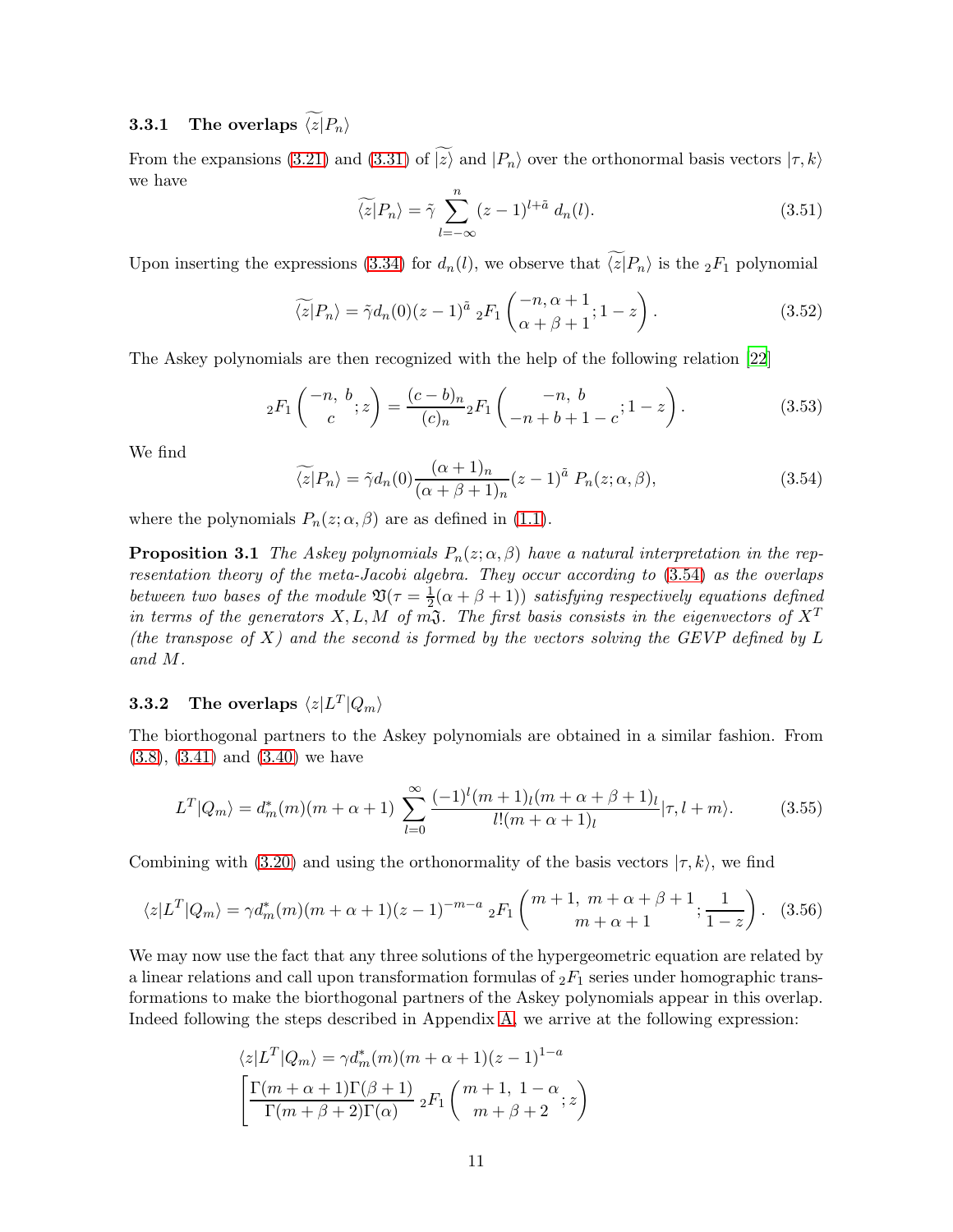# **3.3.1** The overlaps  $\widetilde{\langle z|}P_n\rangle$

From the expansions [\(3.21\)](#page-6-3) and [\(3.31\)](#page-8-4) of  $\widetilde{z}$  and  $|P_n\rangle$  over the orthonormal basis vectors  $|\tau, k\rangle$ we have

$$
\widetilde{\langle z|}P_n\rangle = \widetilde{\gamma} \sum_{l=-\infty}^n (z-1)^{l+\tilde{a}} d_n(l). \tag{3.51}
$$

Upon inserting the expressions [\(3.34\)](#page-8-3) for  $d_n(l)$ , we observe that  $\widetilde{\langle z|}P_n\rangle$  is the  ${}_2F_1$  polynomial

$$
\widetilde{\langle z|}P_n\rangle = \widetilde{\gamma}d_n(0)(z-1)^{\widetilde{a}} \; {}_2F_1\left(\begin{matrix} -n, \alpha+1\\ \alpha+\beta+1 \end{matrix}; 1-z\right). \tag{3.52}
$$

The Askey polynomials are then recognized with the help of the following relation [\[22\]](#page-27-9)

<span id="page-10-1"></span>
$$
{}_2F_1\left(\begin{array}{c} -n, b \\ c \end{array}; z\right) = \frac{(c - b)_n}{(c)_n} {}_2F_1\left(\begin{array}{c} -n, b \\ -n + b + 1 - c \end{array}; 1 - z\right). \tag{3.53}
$$

We find

<span id="page-10-0"></span>
$$
\widetilde{\langle z|}P_n\rangle = \widetilde{\gamma}d_n(0)\frac{(\alpha+1)_n}{(\alpha+\beta+1)_n}(z-1)^{\widetilde{a}}\ P_n(z;\alpha,\beta),\tag{3.54}
$$

where the polynomials  $P_n(z; \alpha, \beta)$  are as defined in [\(1.1\)](#page-0-0).

**Proposition 3.1** The Askey polynomials  $P_n(z; \alpha, \beta)$  have a natural interpretation in the representation theory of the meta-Jacobi algebra. They occur according to [\(3.54\)](#page-10-0) as the overlaps between two bases of the module  $\mathfrak{V}(\tau) = \frac{1}{2}$  $\frac{1}{2}(\alpha + \beta + 1)$  satisfying respectively equations defined in terms of the generators X, L, M of m $\mathfrak{J}$ . The first basis consists in the eigenvectors of  $X^T$ (the transpose of X) and the second is formed by the vectors solving the GEVP defined by  $L$ and M.

## **3.3.2** The overlaps  $\langle z|L^T|Q_m\rangle$

The biorthogonal partners to the Askey polynomials are obtained in a similar fashion. From [\(3.8\)](#page-5-0), [\(3.41\)](#page-8-5) and [\(3.40\)](#page-8-2) we have

$$
L^{T}|Q_{m}\rangle = d_{m}^{*}(m)(m+\alpha+1) \sum_{l=0}^{\infty} \frac{(-1)^{l}(m+1)_{l}(m+\alpha+\beta+1)_{l}}{l!(m+\alpha+1)_{l}}|\tau, l+m\rangle.
$$
 (3.55)

Combining with [\(3.20\)](#page-6-4) and using the orthonormality of the basis vectors  $|\tau, k\rangle$ , we find

<span id="page-10-2"></span>
$$
\langle z|L^T|Q_m\rangle = \gamma d_m^*(m)(m+\alpha+1)(z-1)^{-m-a} \; {}_2F_1\left(\begin{array}{c}m+1, \; m+\alpha+\beta+1\\m+\alpha+1\end{array}; \frac{1}{1-z}\right). \tag{3.56}
$$

We may now use the fact that any three solutions of the hypergeometric equation are related by a linear relations and call upon transformation formulas of  ${}_2F_1$  series under homographic transformations to make the biorthogonal partners of the Askey polynomials appear in this overlap. Indeed following the steps described in Appendix [A,](#page-21-0) we arrive at the following expression:

$$
\langle z|L^T|Q_m\rangle = \gamma d_m^*(m)(m+\alpha+1)(z-1)^{1-a}
$$

$$
\left[\frac{\Gamma(m+\alpha+1)\Gamma(\beta+1)}{\Gamma(m+\beta+2)\Gamma(\alpha)} 2F_1\left(\frac{m+1}{m+\beta+2};z\right)\right]
$$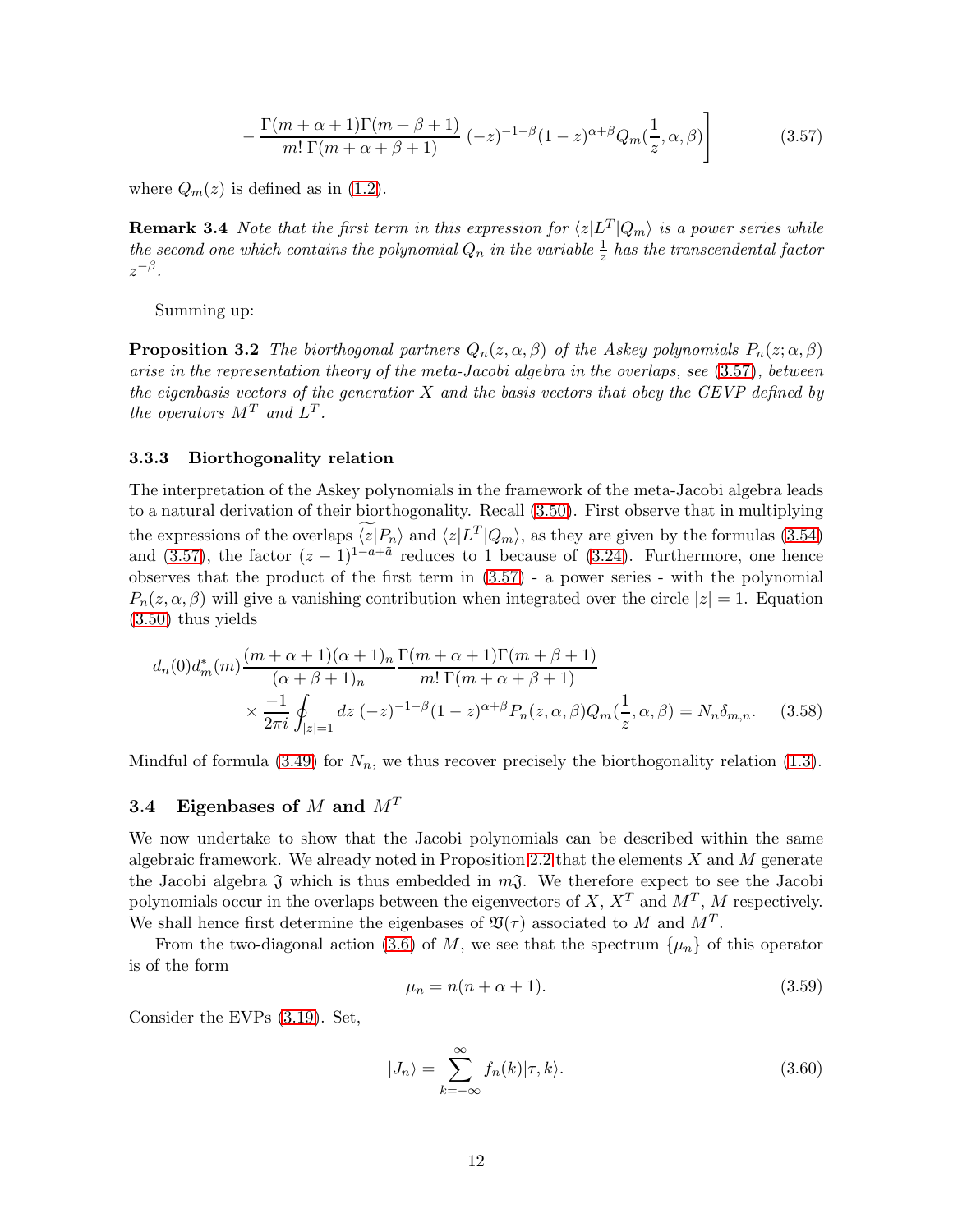<span id="page-11-0"></span>
$$
-\frac{\Gamma(m+\alpha+1)\Gamma(m+\beta+1)}{m!\ \Gamma(m+\alpha+\beta+1)}\ (-z)^{-1-\beta}(1-z)^{\alpha+\beta}Q_m(\frac{1}{z},\alpha,\beta)\Bigg]
$$
(3.57)

where  $Q_m(z)$  is defined as in [\(1.2\)](#page-0-1).

**Remark 3.4** Note that the first term in this expression for  $\langle z|L^T|Q_m\rangle$  is a power series while the second one which contains the polynomial  $Q_n$  in the variable  $\frac{1}{z}$  has the transcendental factor  $z^{-\beta}$ .

<span id="page-11-2"></span>Summing up:

**Proposition 3.2** The biorthogonal partners  $Q_n(z, \alpha, \beta)$  of the Askey polynomials  $P_n(z; \alpha, \beta)$ arise in the representation theory of the meta-Jacobi algebra in the overlaps, see [\(3.57\)](#page-11-0), between the eigenbasis vectors of the generatior  $X$  and the basis vectors that obey the GEVP defined by the operators  $M^T$  and  $L^T$ .

#### 3.3.3 Biorthogonality relation

The interpretation of the Askey polynomials in the framework of the meta-Jacobi algebra leads to a natural derivation of their biorthogonality. Recall [\(3.50\)](#page-9-2). First observe that in multiplying the expressions of the overlaps  $\langle z|P_n\rangle$  and  $\langle z|L^T|Q_m\rangle$ , as they are given by the formulas [\(3.54\)](#page-10-0) and [\(3.57\)](#page-11-0), the factor  $(z-1)^{1-a+\tilde{a}}$  reduces to 1 because of [\(3.24\)](#page-7-1). Furthermore, one hence observes that the product of the first term in [\(3.57\)](#page-11-0) - a power series - with the polynomial  $P_n(z, \alpha, \beta)$  will give a vanishing contribution when integrated over the circle  $|z| = 1$ . Equation [\(3.50\)](#page-9-2) thus yields

$$
d_n(0)d_m^*(m)\frac{(m+\alpha+1)(\alpha+1)_n}{(\alpha+\beta+1)_n} \frac{\Gamma(m+\alpha+1)\Gamma(m+\beta+1)}{m!\ \Gamma(m+\alpha+\beta+1)} \times \frac{-1}{2\pi i} \oint_{|z|=1} dz \ (-z)^{-1-\beta} (1-z)^{\alpha+\beta} P_n(z,\alpha,\beta) Q_m(\frac{1}{z},\alpha,\beta) = N_n \delta_{m,n}.
$$
 (3.58)

Mindful of formula [\(3.49\)](#page-9-3) for  $N_n$ , we thus recover precisely the biorthogonality relation [\(1.3\)](#page-0-2).

## 3.4 Eigenbases of M and  $M<sup>T</sup>$

We now undertake to show that the Jacobi polynomials can be described within the same algebraic framework. We already noted in Proposition [2.2](#page-4-0) that the elements  $X$  and  $M$  generate the Jacobi algebra  $\mathfrak J$  which is thus embedded in  $m\mathfrak J$ . We therefore expect to see the Jacobi polynomials occur in the overlaps between the eigenvectors of  $X, X^T$  and  $M^T, M$  respectively. We shall hence first determine the eigenbases of  $\mathfrak{V}(\tau)$  associated to M and  $M<sup>T</sup>$ .

From the two-diagonal action [\(3.6\)](#page-5-4) of M, we see that the spectrum  $\{\mu_n\}$  of this operator is of the form

$$
\mu_n = n(n + \alpha + 1). \tag{3.59}
$$

Consider the EVPs [\(3.19\)](#page-6-5). Set,

<span id="page-11-1"></span>
$$
|J_n\rangle = \sum_{k=-\infty}^{\infty} f_n(k) |\tau, k\rangle.
$$
 (3.60)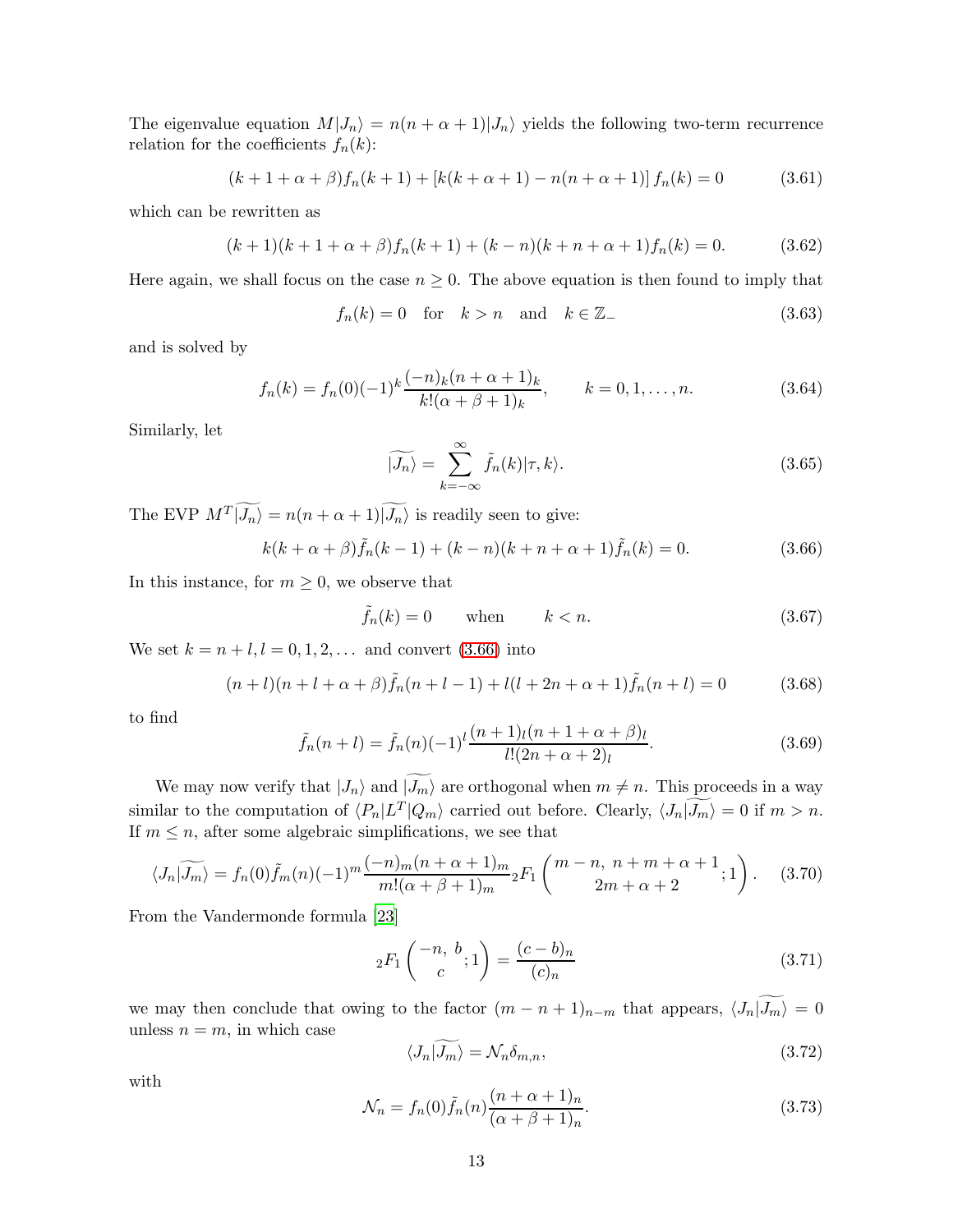The eigenvalue equation  $M|J_n\rangle = n(n + \alpha + 1)|J_n\rangle$  yields the following two-term recurrence relation for the coefficients  $f_n(k)$ :

$$
(k+1+\alpha+\beta)f_n(k+1) + [k(k+\alpha+1) - n(n+\alpha+1)]f_n(k) = 0 \qquad (3.61)
$$

which can be rewritten as

$$
(k+1)(k+1+\alpha+\beta)f_n(k+1) + (k-n)(k+n+\alpha+1)f_n(k) = 0.
$$
 (3.62)

Here again, we shall focus on the case  $n \geq 0$ . The above equation is then found to imply that

 $f_n(k) = 0$  for  $k > n$  and  $k \in \mathbb{Z}_-$  (3.63)

and is solved by

<span id="page-12-1"></span>
$$
f_n(k) = f_n(0)(-1)^k \frac{(-n)_k (n+\alpha+1)_k}{k! (\alpha+\beta+1)_k}, \qquad k = 0, 1, \dots, n.
$$
 (3.64)

Similarly, let

<span id="page-12-2"></span>
$$
\widetilde{|J_n\rangle} = \sum_{k=-\infty}^{\infty} \widetilde{f}_n(k)|\tau, k\rangle.
$$
\n(3.65)

The EVP  $M^T|J_n\rangle = n(n+\alpha+1)|J_n\rangle$  is readily seen to give:

<span id="page-12-0"></span>
$$
k(k+\alpha+\beta)\tilde{f}_n(k-1) + (k-n)(k+n+\alpha+1)\tilde{f}_n(k) = 0.
$$
 (3.66)

In this instance, for  $m \geq 0$ , we observe that

$$
\tilde{f}_n(k) = 0 \qquad \text{when} \qquad k < n. \tag{3.67}
$$

We set  $k = n + l, l = 0, 1, 2, ...$  and convert [\(3.66\)](#page-12-0) into

$$
(n+l)(n+l+\alpha+\beta)\tilde{f}_n(n+l-1) + l(l+2n+\alpha+1)\tilde{f}_n(n+l) = 0 \qquad (3.68)
$$

to find

<span id="page-12-3"></span>
$$
\tilde{f}_n(n+l) = \tilde{f}_n(n)(-1)^l \frac{(n+1)_l(n+1+\alpha+\beta)_l}{l!(2n+\alpha+2)_l}.
$$
\n(3.69)

We may now verify that  $|J_n\rangle$  and  $|\widetilde{J_m}\rangle$  are orthogonal when  $m \neq n$ . This proceeds in a way similar to the computation of  $\langle P_n|L^T|Q_m\rangle$  carried out before. Clearly,  $\langle J_n|J_m\rangle = 0$  if  $m > n$ . If  $m \leq n$ , after some algebraic simplifications, we see that

$$
\langle J_n|\widetilde{J_m}\rangle = f_n(0)\widetilde{f}_m(n)(-1)^m \frac{(-n)_m(n+\alpha+1)_m}{m!(\alpha+\beta+1)_m}{}_2F_1\left(\begin{array}{c}m-n, \ n+m+\alpha+1\\2m+\alpha+2\end{array};1\right). \tag{3.70}
$$

From the Vandermonde formula [\[23](#page-27-10)]

$$
{}_2F_1\binom{-n, b}{c}; 1 = \frac{(c-b)_n}{(c)_n}
$$
\n(3.71)

we may then conclude that owing to the factor  $(m - n + 1)_{n-m}$  that appears,  $\langle J_n | \widetilde{J_m} \rangle = 0$ unless  $n = m$ , in which case

$$
\langle J_n | \widetilde{J_m} \rangle = \mathcal{N}_n \delta_{m,n},\tag{3.72}
$$

with

<span id="page-12-4"></span>
$$
\mathcal{N}_n = f_n(0)\tilde{f}_n(n)\frac{(n+\alpha+1)_n}{(\alpha+\beta+1)_n}.\tag{3.73}
$$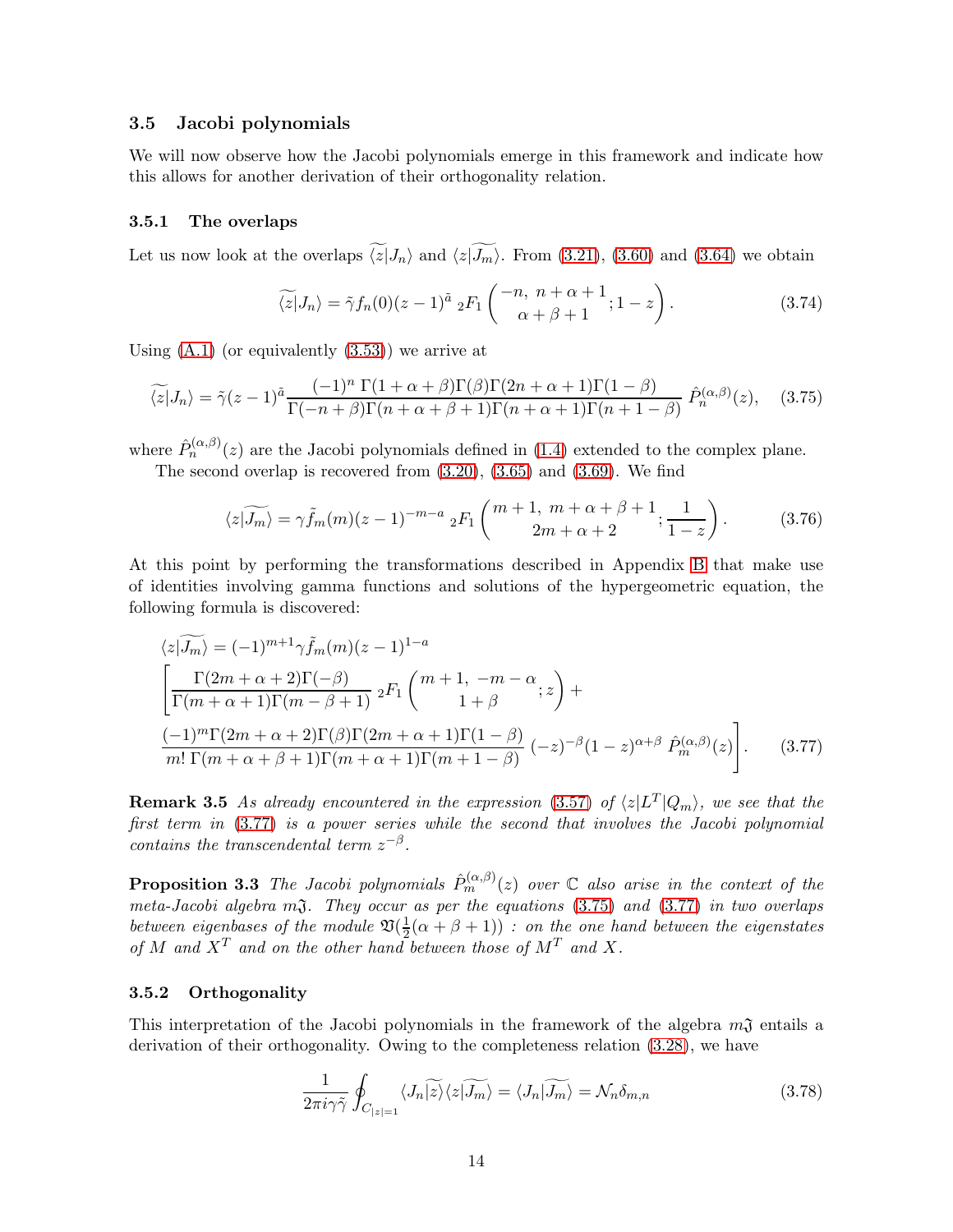#### 3.5 Jacobi polynomials

We will now observe how the Jacobi polynomials emerge in this framework and indicate how this allows for another derivation of their orthogonality relation.

#### 3.5.1 The overlaps

Let us now look at the overlaps  $\widetilde{\langle z|J_n\rangle}$  and  $\langle z|\widetilde{J_m}\rangle$ . From [\(3.21\)](#page-6-3), [\(3.60\)](#page-11-1) and [\(3.64\)](#page-12-1) we obtain

$$
\widetilde{\langle z|}J_n\rangle = \widetilde{\gamma}f_n(0)(z-1)^{\widetilde{a}} \; {}_2F_1\left(\begin{array}{c} -n, \; n+\alpha+1\\ \alpha+\beta+1 \end{array}; 1-z\right). \tag{3.74}
$$

Using  $(A.1)$  (or equivalently  $(3.53)$ ) we arrive at

<span id="page-13-1"></span>
$$
\widetilde{\langle z|}J_n\rangle = \widetilde{\gamma}(z-1)^{\widetilde{a}} \frac{(-1)^n \Gamma(1+\alpha+\beta)\Gamma(\beta)\Gamma(2n+\alpha+1)\Gamma(1-\beta)}{\Gamma(-n+\beta)\Gamma(n+\alpha+\beta+1)\Gamma(n+\alpha+1)\Gamma(n+1-\beta)} \hat{P}_n^{(\alpha,\beta)}(z), \quad (3.75)
$$

where  $\hat{P}_n^{(\alpha,\beta)}(z)$  are the Jacobi polynomials defined in [\(1.4\)](#page-1-3) extended to the complex plane.

The second overlap is recovered from [\(3.20\)](#page-6-4), [\(3.65\)](#page-12-2) and [\(3.69\)](#page-12-3). We find

<span id="page-13-3"></span>
$$
\langle z|\widetilde{J_m}\rangle = \gamma \tilde{f}_m(m)(z-1)^{-m-a} \; {}_2F_1\left( \begin{array}{c} m+1, \; m+\alpha+\beta+1 \\ 2m+\alpha+2 \end{array}; \frac{1}{1-z} \right). \tag{3.76}
$$

At this point by performing the transformations described in Appendix [B](#page-22-1) that make use of identities involving gamma functions and solutions of the hypergeometric equation, the following formula is discovered:

$$
\langle z|\widetilde{J_m}\rangle = (-1)^{m+1} \gamma \widetilde{f}_m(m)(z-1)^{1-a}
$$
  
\n
$$
\left[\frac{\Gamma(2m+\alpha+2)\Gamma(-\beta)}{\Gamma(m+\alpha+1)\Gamma(m-\beta+1)} 2F_1\begin{pmatrix}m+1, -m-\alpha \\ 1+\beta\end{pmatrix}z + \frac{(-1)^m \Gamma(2m+\alpha+2)\Gamma(\beta)\Gamma(2m+\alpha+1)\Gamma(1-\beta)}{m!\Gamma(m+\alpha+\beta+1)\Gamma(m+\alpha+1)\Gamma(m+1-\beta)} (-z)^{-\beta}(1-z)^{\alpha+\beta} \widehat{P}_m^{(\alpha,\beta)}(z)\right].
$$
 (3.77)

**Remark 3.5** As already encountered in the expression [\(3.57\)](#page-11-0) of  $\langle z|L^T|Q_m\rangle$ , we see that the first term in [\(3.77\)](#page-13-0) is a power series while the second that involves the Jacobi polynomial contains the transcendental term  $z^{-\beta}$ .

**Proposition 3.3** The Jacobi polynomials  $\hat{P}_m^{(\alpha,\beta)}(z)$  over  $\mathbb C$  also arise in the context of the meta-Jacobi algebra  $m\mathfrak{J}$ . They occur as per the equations  $(3.75)$  and  $(3.77)$  in two overlaps between eigenbases of the module  $\mathfrak{V}(\frac{1}{2})$  $\frac{1}{2}(\alpha + \beta + 1)$  : on the one hand between the eigenstates of M and  $X^T$  and on the other hand between those of  $M^T$  and X.

#### 3.5.2 Orthogonality

This interpretation of the Jacobi polynomials in the framework of the algebra  $m\mathfrak{J}$  entails a derivation of their orthogonality. Owing to the completeness relation [\(3.28\)](#page-7-3), we have

<span id="page-13-2"></span><span id="page-13-0"></span>
$$
\frac{1}{2\pi i\gamma\tilde{\gamma}}\oint_{C_{|z|=1}}\langle J_n|\widetilde{z}\rangle\langle z|\widetilde{J_m}\rangle = \langle J_n|\widetilde{J_m}\rangle = \mathcal{N}_n\delta_{m,n}
$$
(3.78)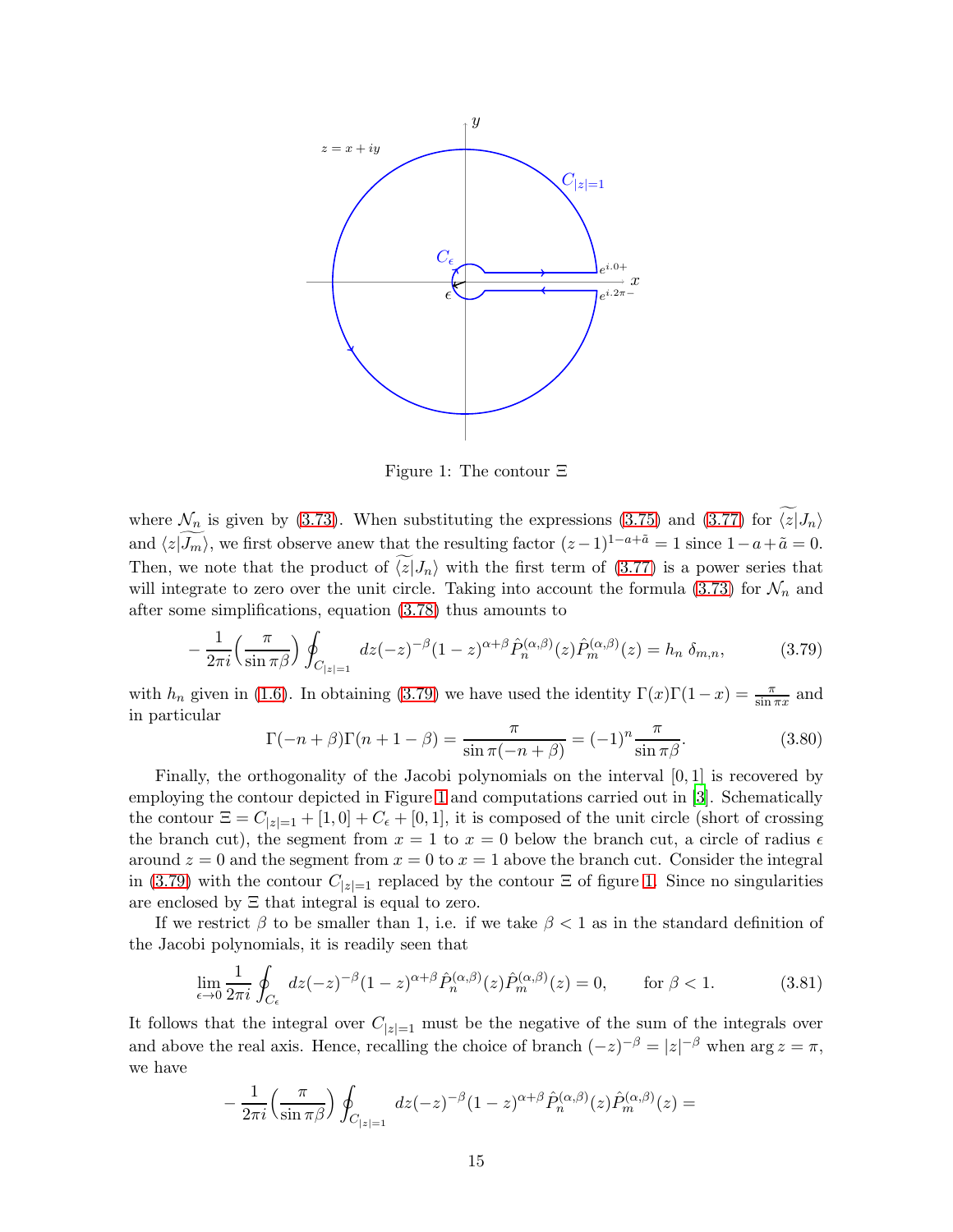

<span id="page-14-1"></span>Figure 1: The contour Ξ

where  $\mathcal{N}_n$  is given by [\(3.73\)](#page-12-4). When substituting the expressions [\(3.75\)](#page-13-1) and [\(3.77\)](#page-13-0) for  $\widetilde{\langle z|}J_n\rangle$ and  $\langle z|\widetilde{J_m}\rangle$ , we first observe anew that the resulting factor  $(z-1)^{1-a+\tilde{a}} = 1$  since  $1-a+\tilde{a} = 0$ . Then, we note that the product of  $\langle z|J_n\rangle$  with the first term of [\(3.77\)](#page-13-0) is a power series that will integrate to zero over the unit circle. Taking into account the formula [\(3.73\)](#page-12-4) for  $\mathcal{N}_n$  and after some simplifications, equation [\(3.78\)](#page-13-2) thus amounts to

<span id="page-14-0"></span>
$$
-\frac{1}{2\pi i} \left(\frac{\pi}{\sin \pi \beta}\right) \oint_{C_{|z|=1}} dz (-z)^{-\beta} (1-z)^{\alpha+\beta} \hat{P}_n^{(\alpha,\beta)}(z) \hat{P}_m^{(\alpha,\beta)}(z) = h_n \delta_{m,n},\tag{3.79}
$$

with  $h_n$  given in [\(1.6\)](#page-1-4). In obtaining [\(3.79\)](#page-14-0) we have used the identity  $\Gamma(x)\Gamma(1-x) = \frac{\pi}{\sin \pi x}$  and in particular

$$
\Gamma(-n+\beta)\Gamma(n+1-\beta) = \frac{\pi}{\sin \pi(-n+\beta)} = (-1)^n \frac{\pi}{\sin \pi \beta}.
$$
\n(3.80)

Finally, the orthogonality of the Jacobi polynomials on the interval [0, 1] is recovered by employing the contour depicted in Figure [1](#page-14-1) and computations carried out in [\[3](#page-26-2)]. Schematically the contour  $\Xi = C_{|z|=1} + [1,0] + C_{\epsilon} + [0,1]$ , it is composed of the unit circle (short of crossing the branch cut), the segment from  $x = 1$  to  $x = 0$  below the branch cut, a circle of radius  $\epsilon$ around  $z = 0$  and the segment from  $x = 0$  to  $x = 1$  above the branch cut. Consider the integral in [\(3.79\)](#page-14-0) with the contour  $C_{|z|=1}$  replaced by the contour  $\Xi$  of figure [1.](#page-14-1) Since no singularities are enclosed by Ξ that integral is equal to zero.

If we restrict  $\beta$  to be smaller than 1, i.e. if we take  $\beta < 1$  as in the standard definition of the Jacobi polynomials, it is readily seen that

$$
\lim_{\epsilon \to 0} \frac{1}{2\pi i} \oint_{C_{\epsilon}} dz(-z)^{-\beta} (1-z)^{\alpha+\beta} \hat{P}_n^{(\alpha,\beta)}(z) \hat{P}_m^{(\alpha,\beta)}(z) = 0, \quad \text{for } \beta < 1.
$$
 (3.81)

It follows that the integral over  $C_{|z|=1}$  must be the negative of the sum of the integrals over and above the real axis. Hence, recalling the choice of branch  $(-z)^{-\beta} = |z|^{-\beta}$  when  $\arg z = \pi$ , we have

$$
-\frac{1}{2\pi i}\left(\frac{\pi}{\sin \pi \beta}\right)\oint_{C_{|z|=1}} dz(-z)^{-\beta}(1-z)^{\alpha+\beta}\hat{P}_n^{(\alpha,\beta)}(z)\hat{P}_m^{(\alpha,\beta)}(z)=
$$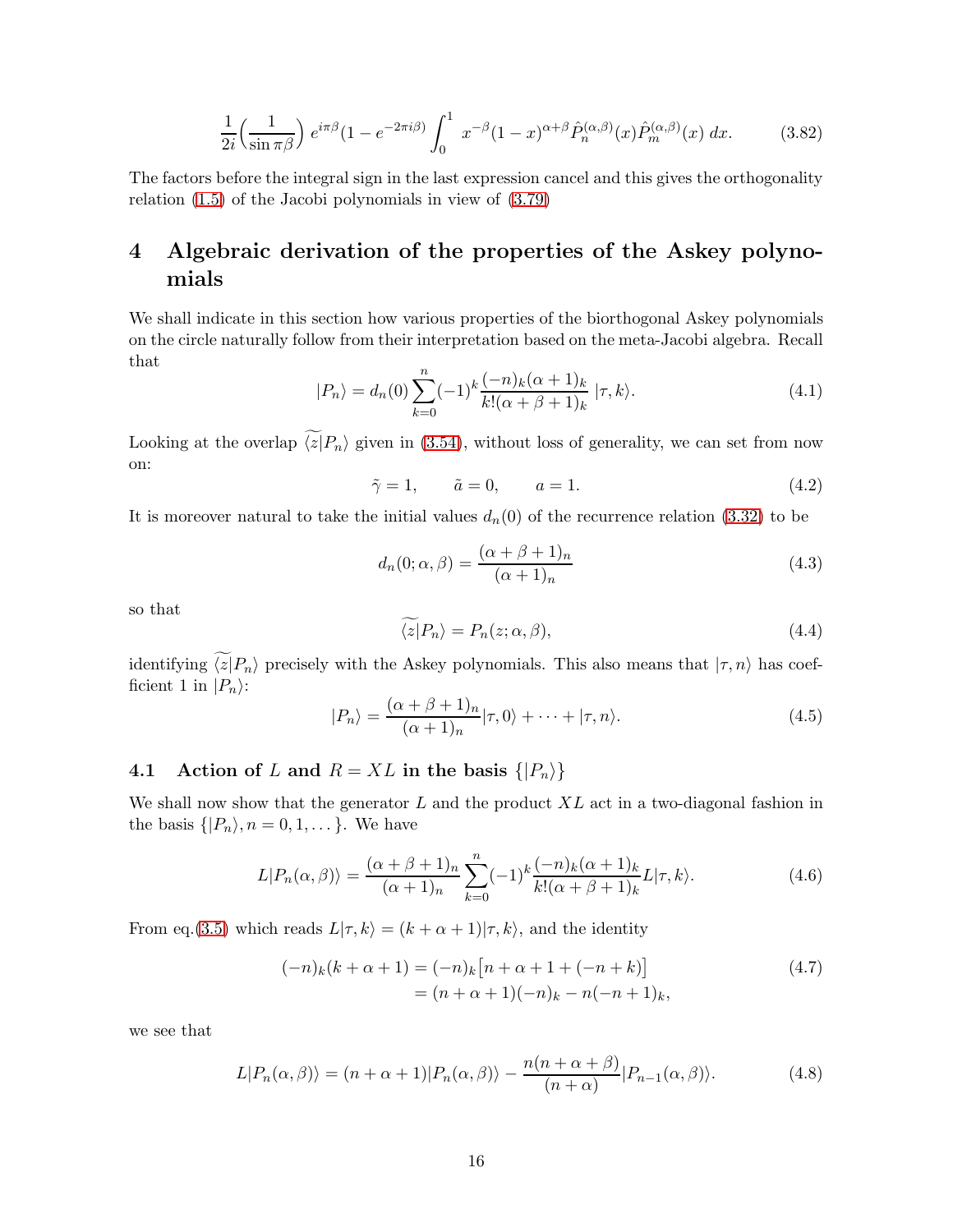$$
\frac{1}{2i} \left(\frac{1}{\sin \pi \beta}\right) e^{i\pi \beta} (1 - e^{-2\pi i \beta)} \int_0^1 x^{-\beta} (1 - x)^{\alpha + \beta} \hat{P}_n^{(\alpha, \beta)}(x) \hat{P}_m^{(\alpha, \beta)}(x) dx.
$$
 (3.82)

The factors before the integral sign in the last expression cancel and this gives the orthogonality relation [\(1.5\)](#page-1-5) of the Jacobi polynomials in view of [\(3.79\)](#page-14-0)

# <span id="page-15-0"></span>4 Algebraic derivation of the properties of the Askey polynomials

We shall indicate in this section how various properties of the biorthogonal Askey polynomials on the circle naturally follow from their interpretation based on the meta-Jacobi algebra. Recall that

$$
|P_n\rangle = d_n(0) \sum_{k=0}^n (-1)^k \frac{(-n)_k (\alpha + 1)_k}{k! (\alpha + \beta + 1)_k} |\tau, k\rangle.
$$
 (4.1)

Looking at the overlap  $\widetilde{\langle z|}P_n\rangle$  given in [\(3.54\)](#page-10-0), without loss of generality, we can set from now on:

<span id="page-15-2"></span>
$$
\tilde{\gamma} = 1, \qquad \tilde{a} = 0, \qquad a = 1. \tag{4.2}
$$

It is moreover natural to take the initial values  $d_n(0)$  of the recurrence relation [\(3.32\)](#page-8-0) to be

$$
d_n(0; \alpha, \beta) = \frac{(\alpha + \beta + 1)_n}{(\alpha + 1)_n}
$$
\n(4.3)

so that

<span id="page-15-3"></span>
$$
\langle z|P_n\rangle = P_n(z;\alpha,\beta),\tag{4.4}
$$

identifying  $\widetilde{\langle z|}P_n$  precisely with the Askey polynomials. This also means that  $|\tau, n\rangle$  has coefficient 1 in  $|P_n\rangle$ :

$$
|P_n\rangle = \frac{(\alpha + \beta + 1)_n}{(\alpha + 1)_n} |\tau, 0\rangle + \dots + |\tau, n\rangle.
$$
 (4.5)

## 4.1 Action of L and  $R = XL$  in the basis  $\{|P_n\rangle\}$

We shall now show that the generator  $L$  and the product  $XL$  act in a two-diagonal fashion in the basis  $\{|P_n\rangle, n = 0, 1, \dots\}$ . We have

$$
L|P_n(\alpha,\beta)\rangle = \frac{(\alpha+\beta+1)_n}{(\alpha+1)_n} \sum_{k=0}^n (-1)^k \frac{(-n)_k(\alpha+1)_k}{k!(\alpha+\beta+1)_k} L|\tau,k\rangle.
$$
 (4.6)

From eq.[\(3.5\)](#page-5-3) which reads  $L|\tau, k\rangle = (k + \alpha + 1)|\tau, k\rangle$ , and the identity

$$
(-n)_k(k+\alpha+1) = (-n)_k[n+\alpha+1+(-n+k)]
$$
  
=  $(n+\alpha+1)(-n)_k - n(-n+1)_k,$  (4.7)

we see that

<span id="page-15-1"></span>
$$
L|P_n(\alpha,\beta)\rangle = (n+\alpha+1)|P_n(\alpha,\beta)\rangle - \frac{n(n+\alpha+\beta)}{(n+\alpha)}|P_{n-1}(\alpha,\beta)\rangle.
$$
 (4.8)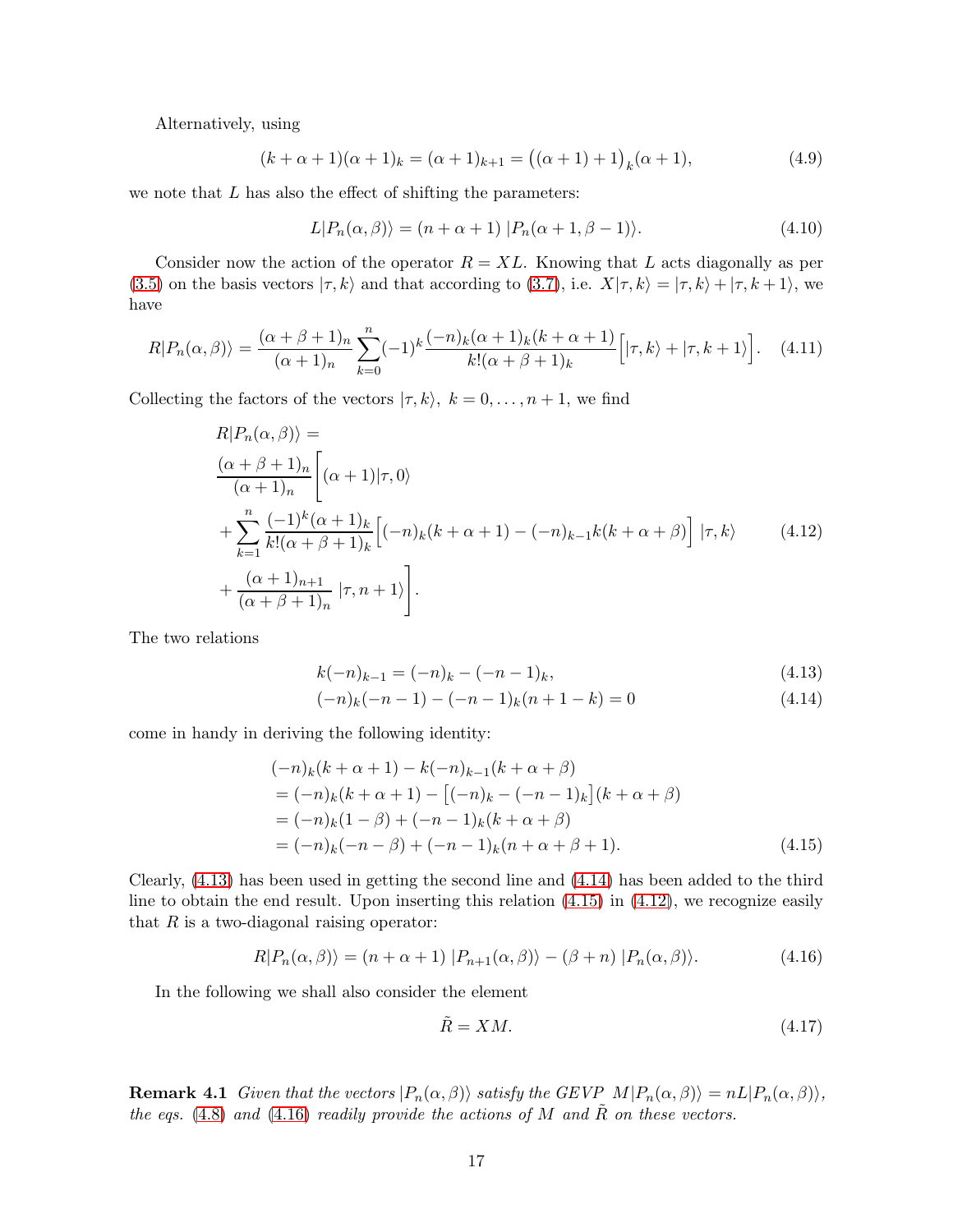Alternatively, using

$$
(k+\alpha+1)(\alpha+1)_k = (\alpha+1)_{k+1} = ((\alpha+1)+1)_k(\alpha+1),
$$
\n(4.9)

we note that  $L$  has also the effect of shifting the parameters:

<span id="page-16-6"></span>
$$
L|P_n(\alpha, \beta)\rangle = (n + \alpha + 1) |P_n(\alpha + 1, \beta - 1)\rangle.
$$
 (4.10)

Consider now the action of the operator  $R = XL$ . Knowing that L acts diagonally as per [\(3.5\)](#page-5-3) on the basis vectors  $|\tau, k\rangle$  and that according to [\(3.7\)](#page-5-5), i.e.  $X|\tau, k\rangle = |\tau, k\rangle + |\tau, k+1\rangle$ , we have

$$
R|P_n(\alpha,\beta)\rangle = \frac{(\alpha+\beta+1)_n}{(\alpha+1)_n} \sum_{k=0}^n (-1)^k \frac{(-n)_k(\alpha+1)_k(k+\alpha+1)}{k!(\alpha+\beta+1)_k} \Big[|\tau,k\rangle + |\tau,k+1\rangle\Big]. \tag{4.11}
$$

Collecting the factors of the vectors  $|\tau, k\rangle$ ,  $k = 0, \ldots, n + 1$ , we find

$$
R|P_n(\alpha, \beta)\rangle =
$$
  
\n
$$
\frac{(\alpha + \beta + 1)_n}{(\alpha + 1)_n} \left[ (\alpha + 1)|\tau, 0 \rangle \right.
$$
  
\n
$$
+ \sum_{k=1}^n \frac{(-1)^k (\alpha + 1)_k}{k!(\alpha + \beta + 1)_k} \left[ (-n)_k (k + \alpha + 1) - (-n)_{k-1} k (k + \alpha + \beta) \right] |\tau, k\rangle
$$
 (4.12)  
\n
$$
+ \frac{(\alpha + 1)_{n+1}}{(\alpha + \beta + 1)_n} |\tau, n + 1\rangle.
$$

The two relations

<span id="page-16-3"></span><span id="page-16-0"></span>
$$
k(-n)_{k-1} = (-n)_k - (-n-1)_k, \tag{4.13}
$$

<span id="page-16-1"></span>
$$
(-n)_k(-n-1) - (-n-1)_k(n+1-k) = 0 \tag{4.14}
$$

come in handy in deriving the following identity:

$$
(-n)_k(k+\alpha+1) - k(-n)_{k-1}(k+\alpha+\beta)
$$
  
=  $(-n)_k(k+\alpha+1) - [(-n)_k - (-n-1)_k](k+\alpha+\beta)$   
=  $(-n)_k(1-\beta) + (-n-1)_k(k+\alpha+\beta)$   
=  $(-n)_k(-n-\beta) + (-n-1)_k(n+\alpha+\beta+1).$  (4.15)

Clearly, [\(4.13\)](#page-16-0) has been used in getting the second line and [\(4.14\)](#page-16-1) has been added to the third line to obtain the end result. Upon inserting this relation [\(4.15\)](#page-16-2) in [\(4.12\)](#page-16-3), we recognize easily that  $R$  is a two-diagonal raising operator:

<span id="page-16-4"></span>
$$
R|P_n(\alpha,\beta)\rangle = (n+\alpha+1) |P_{n+1}(\alpha,\beta)\rangle - (\beta+n) |P_n(\alpha,\beta)\rangle.
$$
 (4.16)

In the following we shall also consider the element

<span id="page-16-2"></span>
$$
\tilde{R} = XM.\tag{4.17}
$$

<span id="page-16-5"></span>**Remark 4.1** Given that the vectors  $|P_n(\alpha, \beta)\rangle$  satisfy the GEVP  $M|P_n(\alpha, \beta)\rangle = nL|P_n(\alpha, \beta)\rangle$ , the eqs. [\(4.8\)](#page-15-1) and [\(4.16\)](#page-16-4) readily provide the actions of M and  $\tilde{R}$  on these vectors.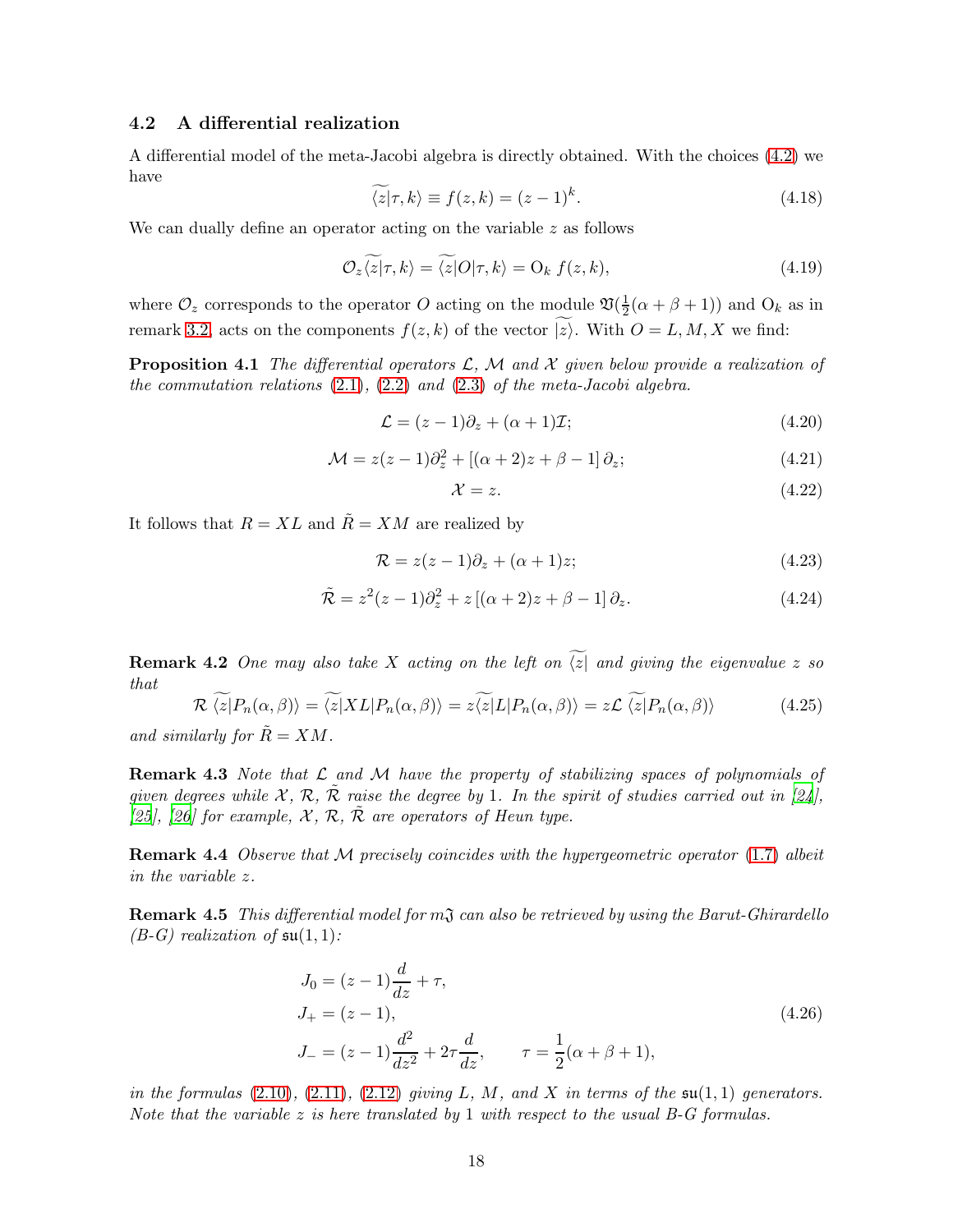#### 4.2 A differential realization

A differential model of the meta-Jacobi algebra is directly obtained. With the choices [\(4.2\)](#page-15-2) we have

$$
\widetilde{\langle z|\tau,k\rangle} \equiv f(z,k) = (z-1)^k. \tag{4.18}
$$

We can dually define an operator acting on the variable  $z$  as follows

$$
\mathcal{O}_{z}\langle z|\tau,k\rangle = \langle z|O|\tau,k\rangle = \mathcal{O}_{k} f(z,k),\tag{4.19}
$$

where  $\mathcal{O}_z$  corresponds to the operator O acting on the module  $\mathfrak{V}(\frac{1}{2})$  $\frac{1}{2}(\alpha + \beta + 1)$  and  $O_k$  as in remark [3.2,](#page-5-6) acts on the components  $f(z, k)$  of the vector  $\widetilde{|z\rangle}$ . With  $O = L, M, X$  we find:

**Proposition 4.1** The differential operators  $\mathcal{L}$ ,  $\mathcal{M}$  and  $\mathcal{X}$  given below provide a realization of the commutation relations  $(2.1)$ ,  $(2.2)$  and  $(2.3)$  of the meta-Jacobi algebra.

<span id="page-17-0"></span>
$$
\mathcal{L} = (z - 1)\partial_z + (\alpha + 1)\mathcal{I};\tag{4.20}
$$

<span id="page-17-1"></span>
$$
\mathcal{M} = z(z-1)\partial_z^2 + [(\alpha+2)z + \beta - 1]\partial_z; \tag{4.21}
$$

<span id="page-17-2"></span>
$$
\mathcal{X} = z. \tag{4.22}
$$

It follows that  $R = XL$  and  $\tilde{R} = XM$  are realized by

<span id="page-17-3"></span>
$$
\mathcal{R} = z(z-1)\partial_z + (\alpha+1)z;\tag{4.23}
$$

<span id="page-17-4"></span>
$$
\tilde{\mathcal{R}} = z^2(z-1)\partial_z^2 + z\left[ (\alpha+2)z + \beta - 1 \right] \partial_z.
$$
\n(4.24)

<span id="page-17-6"></span>**Remark 4.2** One may also take X acting on the left on  $\widetilde{z}$  and giving the eigenvalue z so that

<span id="page-17-5"></span>
$$
\mathcal{R}\left\langle\widetilde{z}|P_n(\alpha,\beta)\right\rangle = \widetilde{\langle z|}XL|P_n(\alpha,\beta)\rangle = z\widetilde{\langle z|}L|P_n(\alpha,\beta)\rangle = z\mathcal{L}\left\langle\widetilde{z}|P_n(\alpha,\beta)\right\rangle \tag{4.25}
$$

and similarly for  $R = XM$ .

**Remark 4.3** Note that  $\mathcal L$  and  $\mathcal M$  have the property of stabilizing spaces of polynomials of given degrees while X, R,  $\tilde{\mathcal{R}}$  raise the degree by 1. In the spirit of studies carried out in [\[24](#page-27-11)], [\[25](#page-27-12)], [\[26](#page-27-13)] for example,  $\mathcal{X}, \mathcal{R}, \mathcal{R}$  are operators of Heun type.

**Remark 4.4** Observe that  $M$  precisely coincides with the hypergeometric operator [\(1.7\)](#page-1-6) albeit in the variable z.

**Remark 4.5** This differential model for  $m\mathfrak{J}$  can also be retrieved by using the Barut-Ghirardello  $(B-G)$  realization of  $\mathfrak{su}(1,1)$ :

$$
J_0 = (z - 1)\frac{d}{dz} + \tau,
$$
  
\n
$$
J_+ = (z - 1),
$$
  
\n
$$
J_- = (z - 1)\frac{d^2}{dz^2} + 2\tau \frac{d}{dz}, \qquad \tau = \frac{1}{2}(\alpha + \beta + 1),
$$
\n(4.26)

in the formulas  $(2.10)$ ,  $(2.11)$ ,  $(2.12)$  giving L, M, and X in terms of the  $\mathfrak{su}(1,1)$  generators. Note that the variable  $z$  is here translated by 1 with respect to the usual B-G formulas.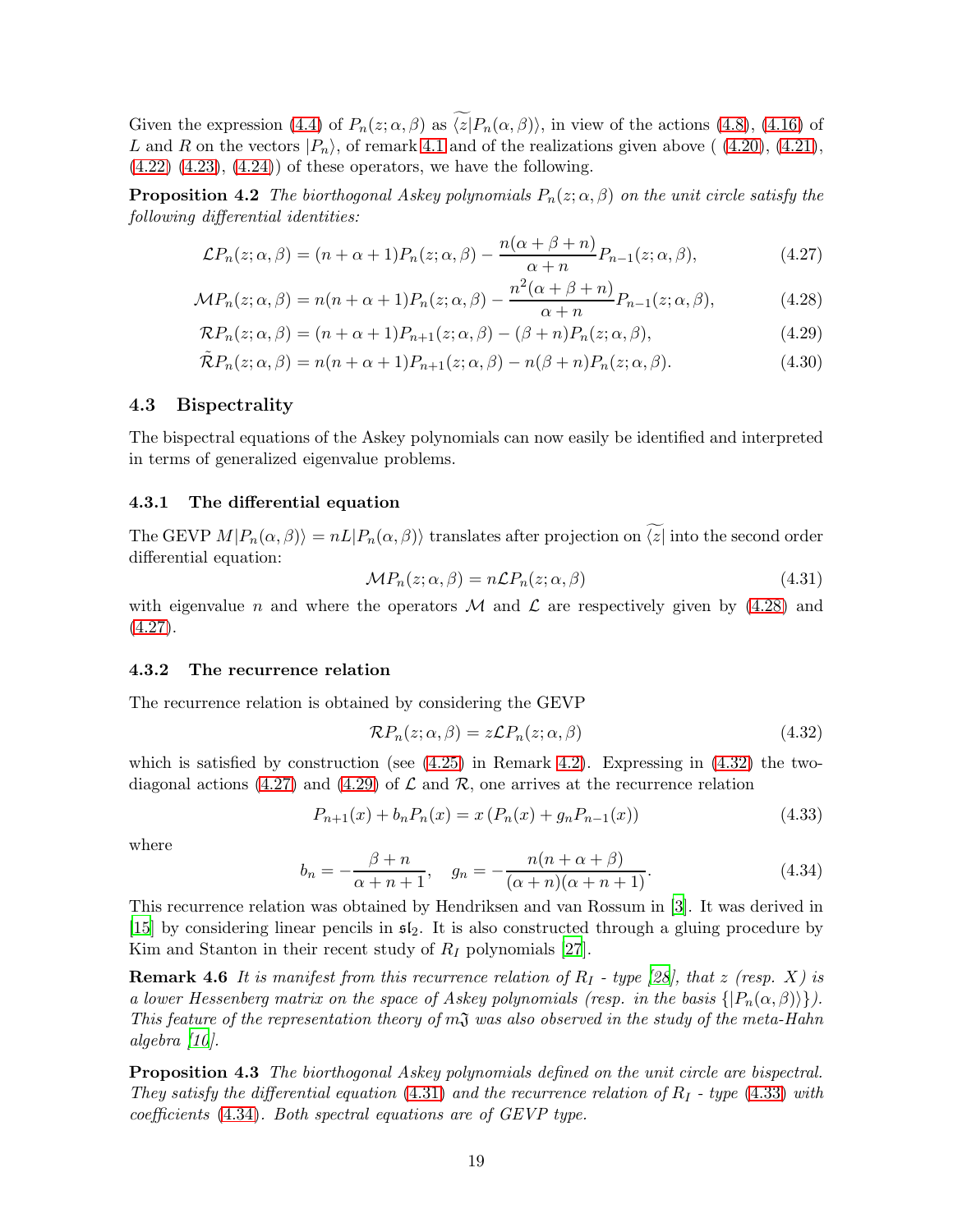Given the expression [\(4.4\)](#page-15-3) of  $P_n(z; \alpha, \beta)$  as  $\widetilde{\langle z|}P_n(\alpha, \beta)\rangle$ , in view of the actions [\(4.8\)](#page-15-1), [\(4.16\)](#page-16-4) of L and R on the vectors  $|P_n\rangle$ , of remark [4.1](#page-16-5) and of the realizations given above ((4.20), [\(4.21\)](#page-17-1),  $(4.22)$   $(4.23)$ ,  $(4.24)$  of these operators, we have the following.

**Proposition 4.2** The biorthogonal Askey polynomials  $P_n(z; \alpha, \beta)$  on the unit circle satisfy the following differential identities:

$$
\mathcal{L}P_n(z;\alpha,\beta) = (n+\alpha+1)P_n(z;\alpha,\beta) - \frac{n(\alpha+\beta+n)}{\alpha+n}P_{n-1}(z;\alpha,\beta),\tag{4.27}
$$

$$
\mathcal{M}P_n(z;\alpha,\beta) = n(n+\alpha+1)P_n(z;\alpha,\beta) - \frac{n^2(\alpha+\beta+n)}{\alpha+n}P_{n-1}(z;\alpha,\beta),\tag{4.28}
$$

$$
\mathcal{R}P_n(z;\alpha,\beta) = (n+\alpha+1)P_{n+1}(z;\alpha,\beta) - (\beta+n)P_n(z;\alpha,\beta),\tag{4.29}
$$

$$
\tilde{\mathcal{R}}P_n(z;\alpha,\beta) = n(n+\alpha+1)P_{n+1}(z;\alpha,\beta) - n(\beta+n)P_n(z;\alpha,\beta). \tag{4.30}
$$

#### 4.3 Bispectrality

The bispectral equations of the Askey polynomials can now easily be identified and interpreted in terms of generalized eigenvalue problems.

#### 4.3.1 The differential equation

The GEVP  $M|P_n(\alpha, \beta)\rangle = nL|P_n(\alpha, \beta)\rangle$  translates after projection on  $\widetilde{\langle z|}$  into the second order differential equation:

<span id="page-18-4"></span><span id="page-18-3"></span><span id="page-18-1"></span><span id="page-18-0"></span>
$$
\mathcal{M}P_n(z; \alpha, \beta) = n\mathcal{L}P_n(z; \alpha, \beta) \tag{4.31}
$$

with eigenvalue n and where the operators M and  $\mathcal L$  are respectively given by [\(4.28\)](#page-18-0) and  $(4.27).$  $(4.27).$ 

#### 4.3.2 The recurrence relation

The recurrence relation is obtained by considering the GEVP

<span id="page-18-2"></span>
$$
\mathcal{R}P_n(z;\alpha,\beta) = z\mathcal{L}P_n(z;\alpha,\beta) \tag{4.32}
$$

which is satisfied by construction (see  $(4.25)$ ) in Remark [4.2\)](#page-17-6). Expressing in  $(4.32)$  the two-diagonal actions [\(4.27\)](#page-18-1) and [\(4.29\)](#page-18-3) of  $\mathcal L$  and  $\mathcal R$ , one arrives at the recurrence relation

<span id="page-18-5"></span>
$$
P_{n+1}(x) + b_n P_n(x) = x (P_n(x) + g_n P_{n-1}(x))
$$
\n(4.33)

where

<span id="page-18-6"></span>
$$
b_n = -\frac{\beta + n}{\alpha + n + 1}, \quad g_n = -\frac{n(n + \alpha + \beta)}{(\alpha + n)(\alpha + n + 1)}.
$$
 (4.34)

This recurrence relation was obtained by Hendriksen and van Rossum in [\[3](#page-26-2)]. It was derived in [\[15\]](#page-27-2) by considering linear pencils in  $\mathfrak{sl}_2$ . It is also constructed through a gluing procedure by Kim and Stanton in their recent study of  $R_I$  polynomials [\[27](#page-27-14)].

**Remark 4.6** It is manifest from this recurrence relation of  $R_I$  - type [\[28](#page-27-15)], that z (resp. X) is a lower Hessenberg matrix on the space of Askey polynomials (resp. in the basis  $\{|P_n(\alpha,\beta)\rangle\}$ ). This feature of the representation theory of  $m<sub>1</sub>$  was also observed in the study of the meta-Hahn algebra [\[10](#page-26-9)].

Proposition 4.3 The biorthogonal Askey polynomials defined on the unit circle are bispectral. They satisfy the differential equation [\(4.31\)](#page-18-4) and the recurrence relation of  $R_I$  - type [\(4.33\)](#page-18-5) with coefficients [\(4.34\)](#page-18-6). Both spectral equations are of GEVP type.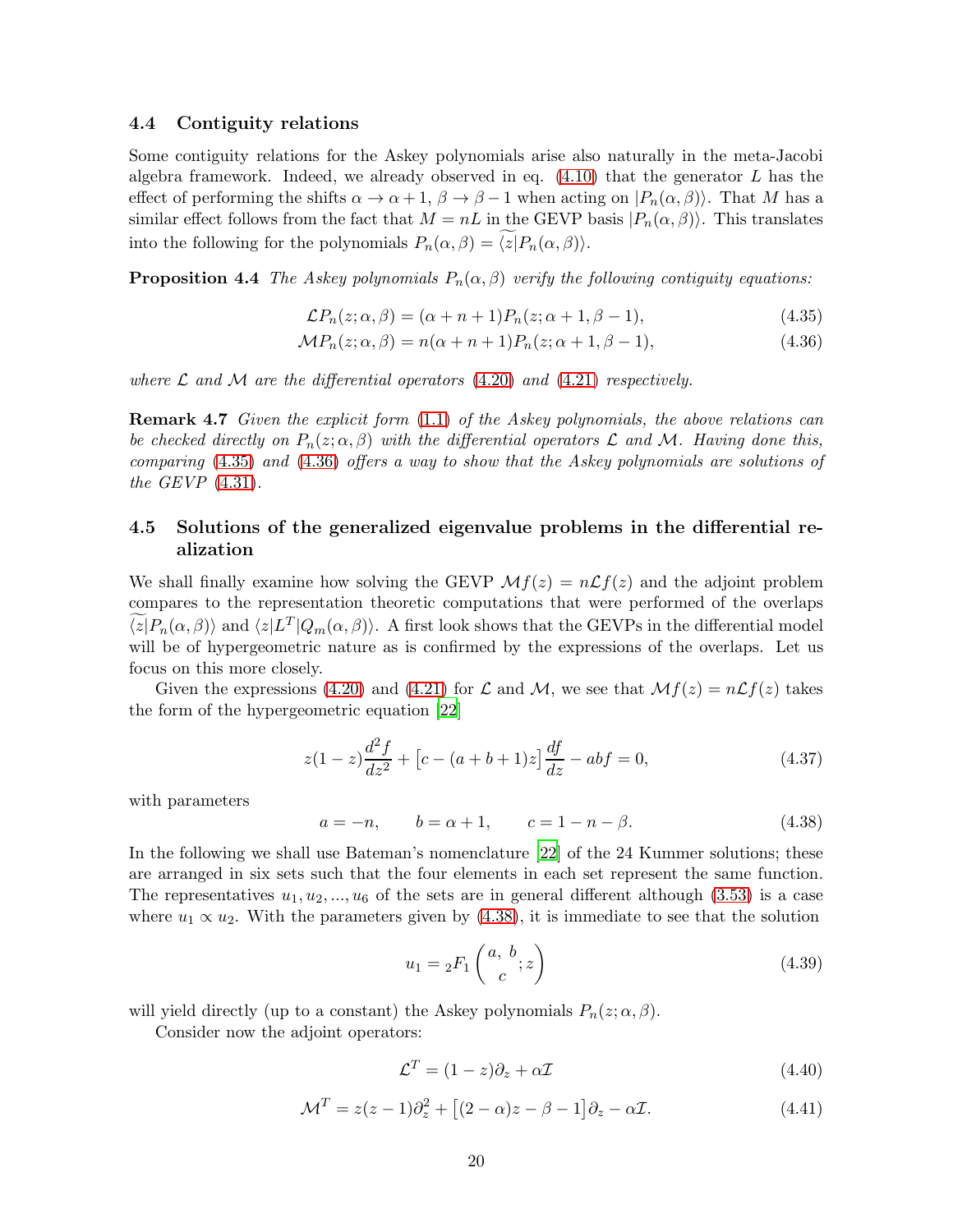#### 4.4 Contiguity relations

Some contiguity relations for the Askey polynomials arise also naturally in the meta-Jacobi algebra framework. Indeed, we already observed in eq.  $(4.10)$  that the generator L has the effect of performing the shifts  $\alpha \to \alpha + 1$ ,  $\beta \to \beta - 1$  when acting on  $|P_n(\alpha, \beta)\rangle$ . That M has a similar effect follows from the fact that  $M = nL$  in the GEVP basis  $|P_n(\alpha, \beta)\rangle$ . This translates into the following for the polynomials  $P_n(\alpha, \beta) = \widetilde{\langle z|}P_n(\alpha, \beta)\rangle$ .

**Proposition 4.4** The Askey polynomials  $P_n(\alpha, \beta)$  verify the following contiguity equations:

<span id="page-19-1"></span><span id="page-19-0"></span>
$$
\mathcal{L}P_n(z;\alpha,\beta) = (\alpha + n + 1)P_n(z;\alpha + 1,\beta - 1),\tag{4.35}
$$

$$
\mathcal{M}P_n(z;\alpha,\beta) = n(\alpha + n + 1)P_n(z;\alpha + 1,\beta - 1),\tag{4.36}
$$

where  $\mathcal L$  and  $\mathcal M$  are the differential operators [\(4.20\)](#page-17-0) and [\(4.21\)](#page-17-1) respectively.

Remark 4.7 Given the explicit form [\(1.1\)](#page-0-0) of the Askey polynomials, the above relations can be checked directly on  $P_n(z;\alpha,\beta)$  with the differential operators  $\mathcal L$  and  $\mathcal M$ . Having done this, comparing [\(4.35\)](#page-19-0) and [\(4.36\)](#page-19-1) offers a way to show that the Askey polynomials are solutions of the  $GEVP(4.31)$  $GEVP(4.31)$ .

### 4.5 Solutions of the generalized eigenvalue problems in the differential realization

We shall finally examine how solving the GEVP  $\mathcal{M}f(z) = n\mathcal{L}f(z)$  and the adjoint problem compares to the representation theoretic computations that were performed of the overlaps  $\langle z|P_n(\alpha, \beta)\rangle$  and  $\langle z|L^T|Q_m(\alpha, \beta)\rangle$ . A first look shows that the GEVPs in the differential model will be of hypergeometric nature as is confirmed by the expressions of the overlaps. Let us focus on this more closely.

Given the expressions [\(4.20\)](#page-17-0) and [\(4.21\)](#page-17-1) for L and M, we see that  $\mathcal{M}f(z) = n\mathcal{L}f(z)$  takes the form of the hypergeometric equation [\[22\]](#page-27-9)

<span id="page-19-3"></span>
$$
z(1-z)\frac{d^2f}{dz^2} + [c - (a+b+1)z] \frac{df}{dz} - abf = 0,
$$
\n(4.37)

with parameters

<span id="page-19-2"></span>
$$
a = -n,
$$
  $b = \alpha + 1,$   $c = 1 - n - \beta.$  (4.38)

In the following we shall use Bateman's nomenclature [\[22\]](#page-27-9) of the 24 Kummer solutions; these are arranged in six sets such that the four elements in each set represent the same function. The representatives  $u_1, u_2, ..., u_6$  of the sets are in general different although [\(3.53\)](#page-10-1) is a case where  $u_1 \propto u_2$ . With the parameters given by [\(4.38\)](#page-19-2), it is immediate to see that the solution

$$
u_1 = {}_2F_1\left(\begin{array}{c} a, b \\ c \end{array}; z\right) \tag{4.39}
$$

will yield directly (up to a constant) the Askey polynomials  $P_n(z; \alpha, \beta)$ .

Consider now the adjoint operators:

$$
\mathcal{L}^T = (1 - z)\partial_z + \alpha \mathcal{I} \tag{4.40}
$$

$$
\mathcal{M}^T = z(z-1)\partial_z^2 + [(2-\alpha)z - \beta - 1]\partial_z - \alpha \mathcal{I}.
$$
 (4.41)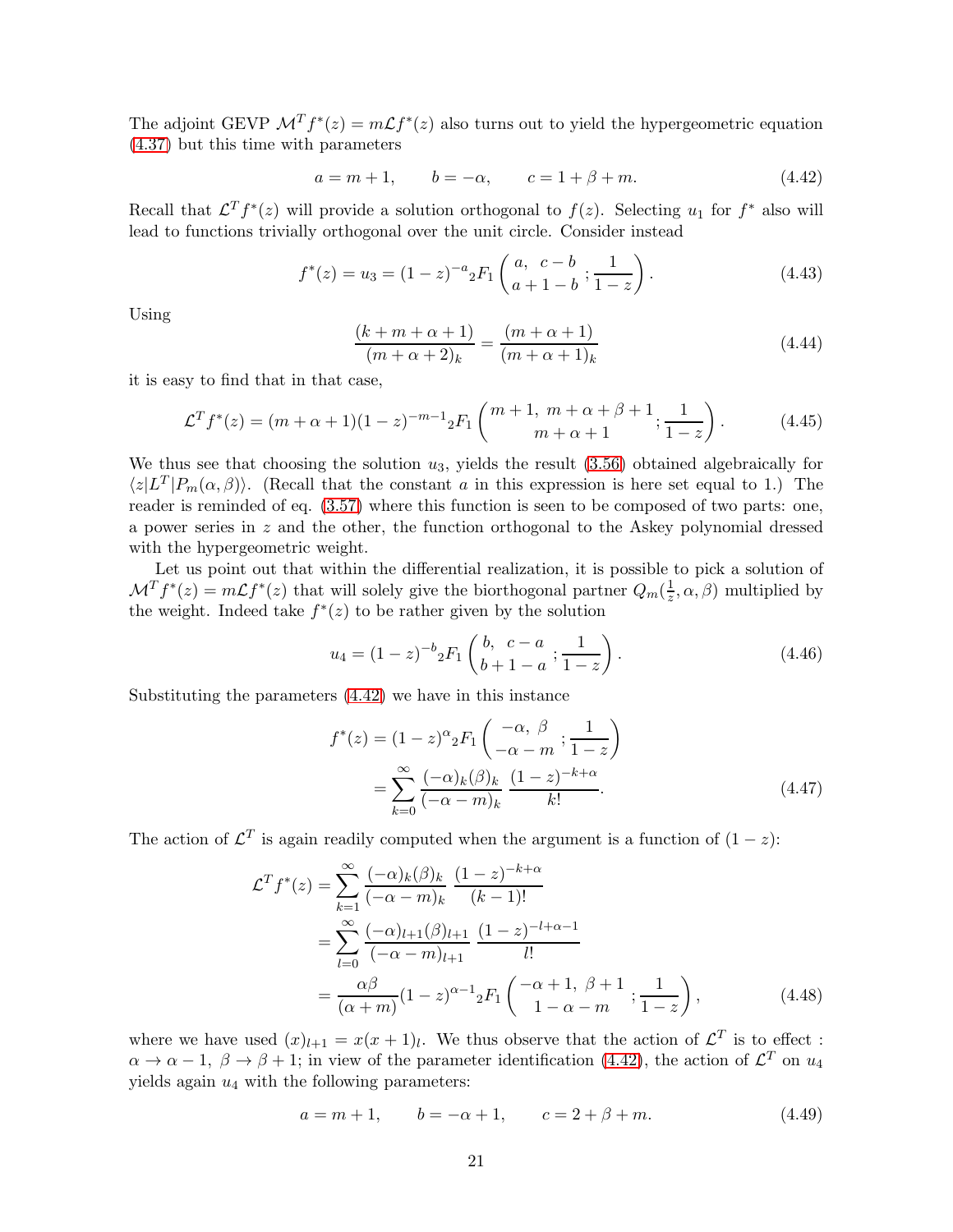The adjoint GEVP  $\mathcal{M}^T f^*(z) = m \mathcal{L} f^*(z)$  also turns out to yield the hypergeometric equation [\(4.37\)](#page-19-3) but this time with parameters

<span id="page-20-0"></span>
$$
a = m + 1,
$$
  $b = -\alpha,$   $c = 1 + \beta + m.$  (4.42)

Recall that  $\mathcal{L}^T f^*(z)$  will provide a solution orthogonal to  $f(z)$ . Selecting  $u_1$  for  $f^*$  also will lead to functions trivially orthogonal over the unit circle. Consider instead

$$
f^*(z) = u_3 = (1-z)^{-a} {}_2F_1\left(\begin{array}{cc} a, & c-b \\ a+1-b & 1-z \end{array}\right). \tag{4.43}
$$

Using

$$
\frac{(k+m+\alpha+1)}{(m+\alpha+2)_k} = \frac{(m+\alpha+1)}{(m+\alpha+1)_k}
$$
\n(4.44)

it is easy to find that in that case,

$$
\mathcal{L}^T f^*(z) = (m + \alpha + 1)(1 - z)^{-m-1} {}_2F_1 \left( \begin{array}{c} m+1, \ m+\alpha+\beta+1 \\ m+\alpha+1 \end{array}; \frac{1}{1-z} \right). \tag{4.45}
$$

We thus see that choosing the solution  $u_3$ , yields the result  $(3.56)$  obtained algebraically for  $\langle z|L^T|P_m(\alpha, \beta)\rangle$ . (Recall that the constant a in this expression is here set equal to 1.) The reader is reminded of eq.  $(3.57)$  where this function is seen to be composed of two parts: one, a power series in  $z$  and the other, the function orthogonal to the Askey polynomial dressed with the hypergeometric weight.

Let us point out that within the differential realization, it is possible to pick a solution of  $\mathcal{M}^T f^*(z) = m \mathcal{L} f^*(z)$  that will solely give the biorthogonal partner  $Q_m(\frac{1}{z}, \alpha, \beta)$  multiplied by the weight. Indeed take  $f^*(z)$  to be rather given by the solution

$$
u_4 = (1-z)^{-b} {}_2F_1\left(\begin{array}{cc} b, & c-a \\ b+1-a \end{array}; \frac{1}{1-z}\right). \tag{4.46}
$$

Substituting the parameters [\(4.42\)](#page-20-0) we have in this instance

$$
f^*(z) = (1-z)^{\alpha} {}_{2}F_1\left(\frac{-\alpha}{-\alpha-m}; \frac{1}{1-z}\right)
$$

$$
= \sum_{k=0}^{\infty} \frac{(-\alpha)_k (\beta)_k}{(-\alpha-m)_k} \frac{(1-z)^{-k+\alpha}}{k!}.
$$
(4.47)

The action of  $\mathcal{L}^T$  is again readily computed when the argument is a function of  $(1-z)$ :

$$
\mathcal{L}^T f^*(z) = \sum_{k=1}^{\infty} \frac{(-\alpha)_k (\beta)_k}{(-\alpha - m)_k} \frac{(1-z)^{-k+\alpha}}{(k-1)!}
$$
  
= 
$$
\sum_{l=0}^{\infty} \frac{(-\alpha)_{l+1} (\beta)_{l+1}}{(-\alpha - m)_{l+1}} \frac{(1-z)^{-l+\alpha-1}}{l!}
$$
  
= 
$$
\frac{\alpha \beta}{(\alpha + m)} (1-z)^{\alpha-1} {}_2F_1 \left( \frac{-\alpha + 1}{1 - \alpha - m} ; \frac{1}{1-z} \right),
$$
 (4.48)

where we have used  $(x)_{l+1} = x(x+1)_{l}$ . We thus observe that the action of  $\mathcal{L}^{T}$  is to effect :  $\alpha \to \alpha - 1$ ,  $\beta \to \beta + 1$ ; in view of the parameter identification [\(4.42\)](#page-20-0), the action of  $\mathcal{L}^T$  on  $u_4$ yields again  $u_4$  with the following parameters:

<span id="page-20-1"></span>
$$
a = m + 1, \qquad b = -\alpha + 1, \qquad c = 2 + \beta + m. \tag{4.49}
$$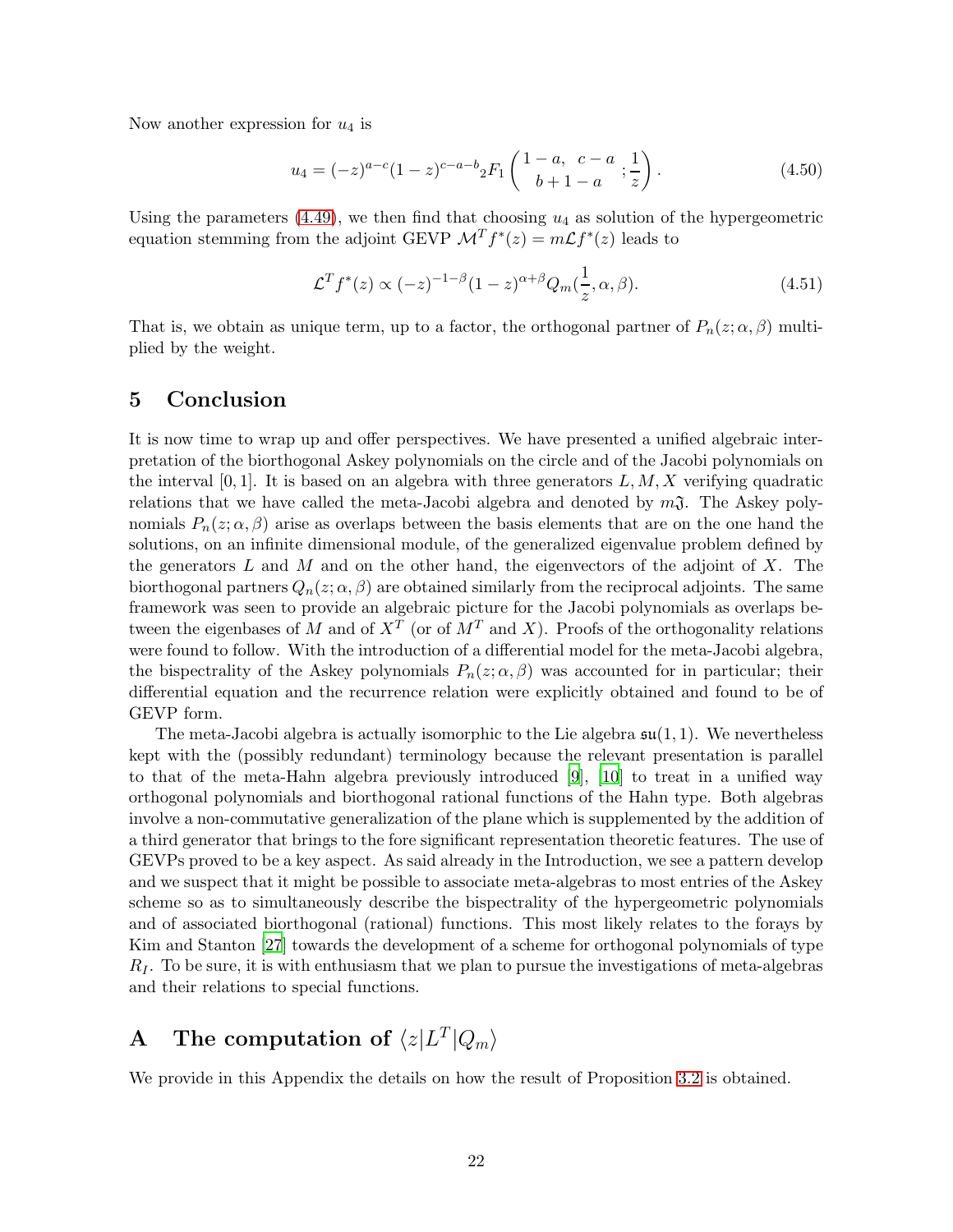Now another expression for  $u_4$  is

$$
u_4 = (-z)^{a-c}(1-z)^{c-a-b} {}_2F_1\left(\begin{array}{cc} 1-a, & c-a \\ b+1-a \end{array}; \frac{1}{z}\right). \tag{4.50}
$$

Using the parameters [\(4.49\)](#page-20-1), we then find that choosing  $u_4$  as solution of the hypergeometric equation stemming from the adjoint GEVP  $\mathcal{M}^T f^*(z) = m\mathcal{L} f^*(z)$  leads to

$$
\mathcal{L}^T f^*(z) \propto (-z)^{-1-\beta} (1-z)^{\alpha+\beta} Q_m(\frac{1}{z}, \alpha, \beta). \tag{4.51}
$$

That is, we obtain as unique term, up to a factor, the orthogonal partner of  $P_n(z; \alpha, \beta)$  multiplied by the weight.

### 5 Conclusion

It is now time to wrap up and offer perspectives. We have presented a unified algebraic interpretation of the biorthogonal Askey polynomials on the circle and of the Jacobi polynomials on the interval  $[0, 1]$ . It is based on an algebra with three generators  $L, M, X$  verifying quadratic relations that we have called the meta-Jacobi algebra and denoted by  $m\mathfrak{J}$ . The Askey polynomials  $P_n(z; \alpha, \beta)$  arise as overlaps between the basis elements that are on the one hand the solutions, on an infinite dimensional module, of the generalized eigenvalue problem defined by the generators L and M and on the other hand, the eigenvectors of the adjoint of X. The biorthogonal partners  $Q_n(z; \alpha, \beta)$  are obtained similarly from the reciprocal adjoints. The same framework was seen to provide an algebraic picture for the Jacobi polynomials as overlaps between the eigenbases of M and of  $X^T$  (or of  $M^T$  and X). Proofs of the orthogonality relations were found to follow. With the introduction of a differential model for the meta-Jacobi algebra, the bispectrality of the Askey polynomials  $P_n(z; \alpha, \beta)$  was accounted for in particular; their differential equation and the recurrence relation were explicitly obtained and found to be of GEVP form.

The meta-Jacobi algebra is actually isomorphic to the Lie algebra  $\mathfrak{su}(1,1)$ . We nevertheless kept with the (possibly redundant) terminology because the relevant presentation is parallel to that of the meta-Hahn algebra previously introduced [\[9](#page-26-8)], [\[10\]](#page-26-9) to treat in a unified way orthogonal polynomials and biorthogonal rational functions of the Hahn type. Both algebras involve a non-commutative generalization of the plane which is supplemented by the addition of a third generator that brings to the fore significant representation theoretic features. The use of GEVPs proved to be a key aspect. As said already in the Introduction, we see a pattern develop and we suspect that it might be possible to associate meta-algebras to most entries of the Askey scheme so as to simultaneously describe the bispectrality of the hypergeometric polynomials and of associated biorthogonal (rational) functions. This most likely relates to the forays by Kim and Stanton [\[27](#page-27-14)] towards the development of a scheme for orthogonal polynomials of type  $R_I$ . To be sure, it is with enthusiasm that we plan to pursue the investigations of meta-algebras and their relations to special functions.

# <span id="page-21-0"></span>A The computation of  $\langle z|L^T|Q_m\rangle$

We provide in this Appendix the details on how the result of Proposition [3.2](#page-11-2) is obtained.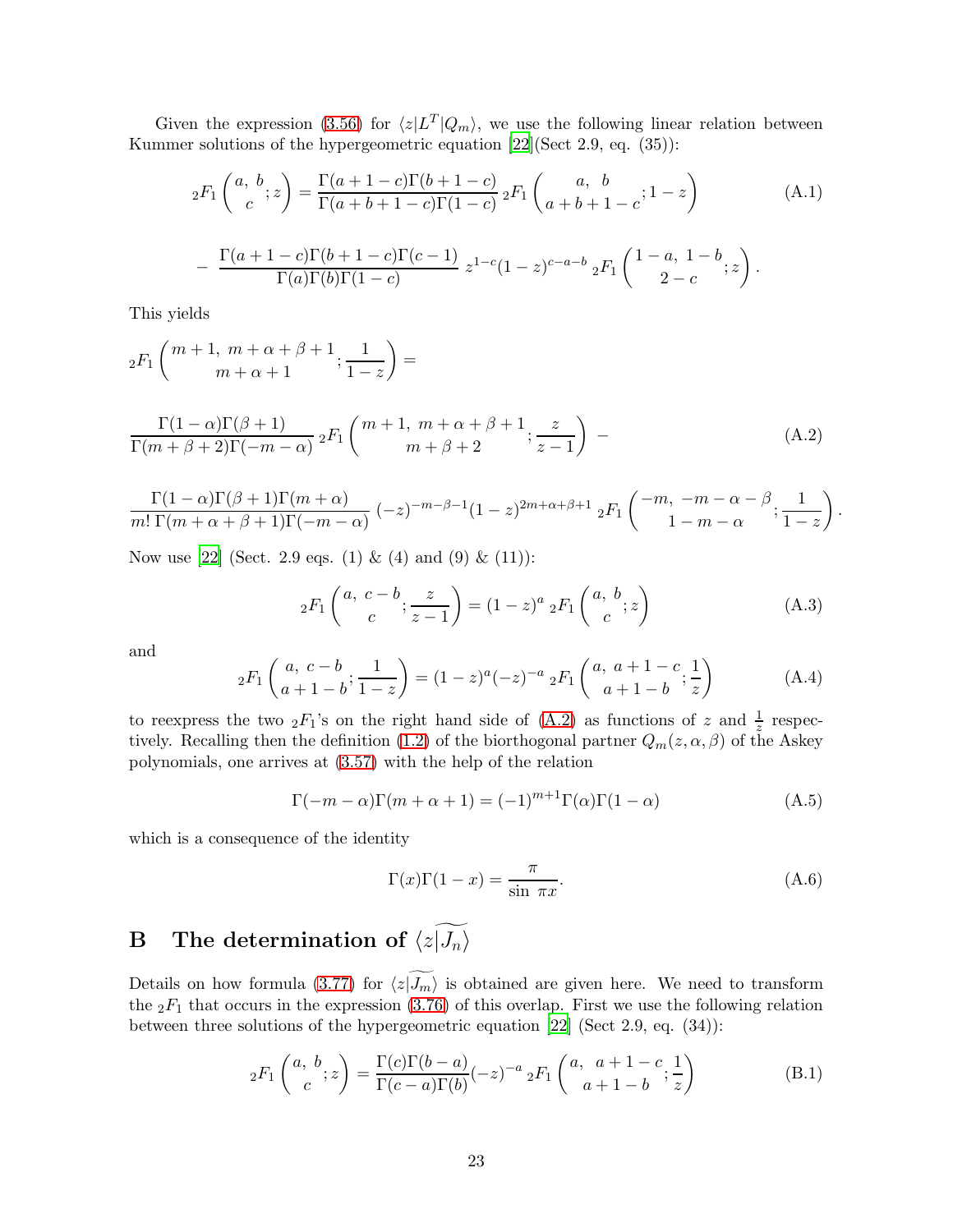Given the expression [\(3.56\)](#page-10-2) for  $\langle z|L^T|Q_m\rangle$ , we use the following linear relation between Kummer solutions of the hypergeometric equation [\[22](#page-27-9)](Sect 2.9, eq. (35)):

$$
{}_2F_1\binom{a, b}{c}; z = \frac{\Gamma(a+1-c)\Gamma(b+1-c)}{\Gamma(a+b+1-c)\Gamma(1-c)} {}_2F_1\binom{a, b}{a+b+1-c}; 1-z
$$
 (A.1)

$$
- \frac{\Gamma(a+1-c)\Gamma(b+1-c)\Gamma(c-1)}{\Gamma(a)\Gamma(b)\Gamma(1-c)} z^{1-c}(1-z)^{c-a-b} {}_2F_1\left(\begin{matrix}1-a, & 1-b \\ & 2-c\end{matrix};z\right).
$$

This yields

$$
{}_2F_1\left(\begin{array}{c}m+1, m+\alpha+\beta+1 \\ m+\alpha+1\end{array}; \frac{1}{1-z}\right) =
$$

$$
\frac{\Gamma(1-\alpha)\Gamma(\beta+1)}{\Gamma(m+\beta+2)\Gamma(-m-\alpha)} {}_{2}F_{1}\left(\begin{array}{c}m+1, \ m+\alpha+\beta+1 \\ m+\beta+2\end{array}; \frac{z}{z-1}\right) \tag{A.2}
$$

$$
\frac{\Gamma(1-\alpha)\Gamma(\beta+1)\Gamma(m+\alpha)}{m!\ \Gamma(m+\alpha+\beta+1)\Gamma(-m-\alpha)} \left(-z\right)^{-m-\beta-1} (1-z)^{2m+\alpha+\beta+1} \ {}_2F_1\left(\begin{array}{c} -m, \ -m-\alpha-\beta \\ 1-m-\alpha \end{array}; \frac{1}{1-z}\right)
$$

Now use [\[22](#page-27-9)] (Sect. 2.9 eqs. (1) & (4) and (9) & (11)):

$$
{}_2F_1\left(\begin{matrix}a, & c-b \\ c & z-1\end{matrix}\right) = (1-z)^a {}_2F_1\left(\begin{matrix}a, & b \\ c & z\end{matrix}\right) \tag{A.3}
$$

<span id="page-22-2"></span><span id="page-22-0"></span>.

and

$$
{}_2F_1\left(\begin{array}{c} a, \ c - b \\ a + 1 - b \end{array}; \frac{1}{1 - z}\right) = (1 - z)^a (-z)^{-a} {}_2F_1\left(\begin{array}{c} a, \ a + 1 - c \\ a + 1 - b \end{array}; \frac{1}{z}\right) \tag{A.4}
$$

to reexpress the two  ${}_2F_1$ 's on the right hand side of [\(A.2\)](#page-22-2) as functions of z and  $\frac{1}{z}$  respec-tively. Recalling then the definition [\(1.2\)](#page-0-1) of the biorthogonal partner  $Q_m(z, \alpha, \beta)$  of the Askey polynomials, one arrives at [\(3.57\)](#page-11-0) with the help of the relation

<span id="page-22-4"></span>
$$
\Gamma(-m-\alpha)\Gamma(m+\alpha+1) = (-1)^{m+1}\Gamma(\alpha)\Gamma(1-\alpha)
$$
\n(A.5)

which is a consequence of the identity

<span id="page-22-3"></span>
$$
\Gamma(x)\Gamma(1-x) = \frac{\pi}{\sin \pi x}.\tag{A.6}
$$

# <span id="page-22-1"></span>**B** The determination of  $\langle z|\widetilde{J_n}\rangle$

Details on how formula [\(3.77\)](#page-13-0) for  $\langle z|J_m\rangle$  is obtained are given here. We need to transform the  ${}_2F_1$  that occurs in the expression [\(3.76\)](#page-13-3) of this overlap. First we use the following relation between three solutions of the hypergeometric equation [\[22\]](#page-27-9) (Sect 2.9, eq. (34)):

$$
{}_2F_1\binom{a, b}{c}; z = \frac{\Gamma(c)\Gamma(b-a)}{\Gamma(c-a)\Gamma(b)}(-z)^{-a} {}_2F_1\binom{a, a+1-c}{a+1-b}; \frac{1}{z}
$$
(B.1)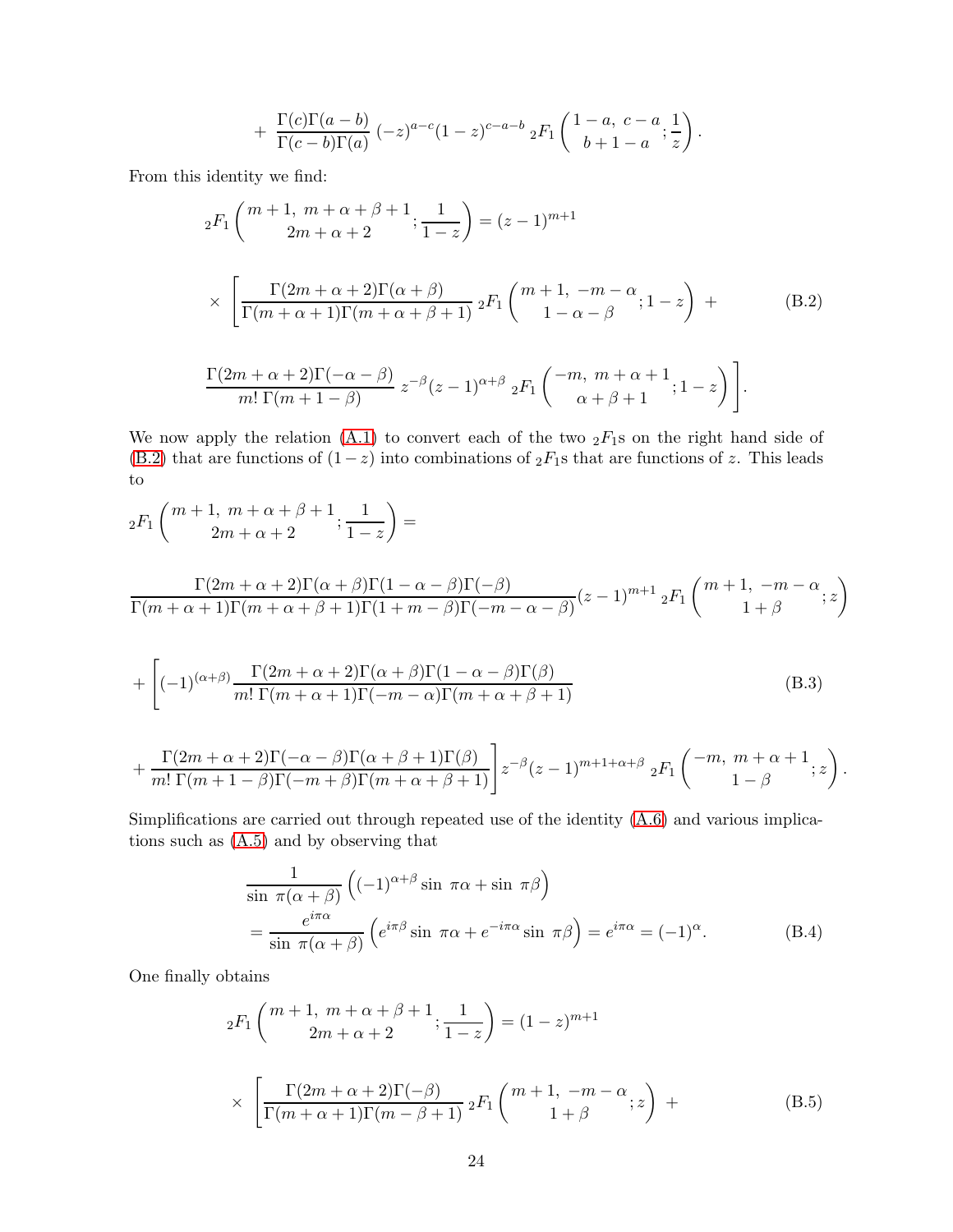<span id="page-23-0"></span>+ 
$$
\frac{\Gamma(c)\Gamma(a-b)}{\Gamma(c-b)\Gamma(a)}
$$
  $(-z)^{a-c}(1-z)^{c-a-b} {}_{2}F_{1}\left(\begin{array}{cc}1-a, & c-a \\ b+1-a\end{array};\frac{1}{z}\right).$ 

From this identity we find:

$$
{}_{2}F_{1}\left(\begin{array}{c}m+1, m+\alpha+\beta+1; \frac{1}{1-z}\end{array}\right) = (z-1)^{m+1}
$$
  
\n
$$
\times \left[\frac{\Gamma(2m+\alpha+2)\Gamma(\alpha+\beta)}{\Gamma(m+\alpha+1)\Gamma(m+\alpha+\beta+1)} {}_{2}F_{1}\left(\begin{array}{c}m+1, -m-\alpha \\ 1-\alpha-\beta \end{array}; 1-z\right) + \Gamma(2m+\alpha+2)\Gamma(-\alpha-\beta) \right]_{\alpha=\beta}.
$$
 (B.2)

$$
\frac{\Gamma(2m+\alpha+2)\Gamma(-\alpha-\beta)}{m!\ \Gamma(m+1-\beta)}\ z^{-\beta}(z-1)^{\alpha+\beta} \ _2F_1\left(\begin{array}{c} -m, m+\alpha+1 \\ \alpha+\beta+1 \end{array}; 1-z\right)\Bigg].
$$

We now apply the relation  $(A.1)$  to convert each of the two  ${}_2F_1$ s on the right hand side of [\(B.2\)](#page-23-0) that are functions of  $(1-z)$  into combinations of  ${}_2F_1$ s that are functions of z. This leads to

$$
{}_2F_1\left(\begin{matrix}m+1, m+\alpha+\beta+1\\2m+\alpha+2\end{matrix}; \frac{1}{1-z}\right) =
$$

$$
\frac{\Gamma(2m+\alpha+2)\Gamma(\alpha+\beta)\Gamma(1-\alpha-\beta)\Gamma(-\beta)}{\Gamma(m+\alpha+1)\Gamma(m+\alpha+\beta+1)\Gamma(1+m-\beta)\Gamma(-m-\alpha-\beta)}(z-1)^{m+1} {}_{2}F_{1}\left(\begin{matrix}m+1, \ -m-\alpha \\ 1+\beta\end{matrix};z\right)
$$

+
$$
\left[(-1)^{(\alpha+\beta)} \frac{\Gamma(2m+\alpha+2)\Gamma(\alpha+\beta)\Gamma(1-\alpha-\beta)\Gamma(\beta)}{m!\ \Gamma(m+\alpha+1)\Gamma(-m-\alpha)\Gamma(m+\alpha+\beta+1)}\right]
$$
(B.3)

+ 
$$
\frac{\Gamma(2m+\alpha+2)\Gamma(-\alpha-\beta)\Gamma(\alpha+\beta+1)\Gamma(\beta)}{m!\ \Gamma(m+1-\beta)\Gamma(-m+\beta)\Gamma(m+\alpha+\beta+1)} z^{-\beta} (z-1)^{m+1+\alpha+\beta} {}_{2}F_{1}\left({-m, m+\alpha+1 \atop 1-\beta}; z\right).
$$

Simplifications are carried out through repeated use of the identity [\(A.6\)](#page-22-3) and various implications such as [\(A.5\)](#page-22-4) and by observing that

$$
\frac{1}{\sin \pi(\alpha+\beta)} \left( (-1)^{\alpha+\beta} \sin \pi\alpha + \sin \pi\beta \right)
$$
  
= 
$$
\frac{e^{i\pi\alpha}}{\sin \pi(\alpha+\beta)} \left( e^{i\pi\beta} \sin \pi\alpha + e^{-i\pi\alpha} \sin \pi\beta \right) = e^{i\pi\alpha} = (-1)^{\alpha}.
$$
 (B.4)

One finally obtains

$$
{}_{2}F_{1}\left(\begin{array}{c}m+1, m+\alpha+\beta+1; \frac{1}{1-z}\end{array}\right) = (1-z)^{m+1}
$$

$$
\times \left[\frac{\Gamma(2m+\alpha+2)\Gamma(-\beta)}{\Gamma(m+\alpha+1)\Gamma(m-\beta+1)} {}_{2}F_{1}\left(\begin{array}{c}m+1, -m-\alpha; \ k+1+\beta\end{array}\right) + \right]
$$
(B.5)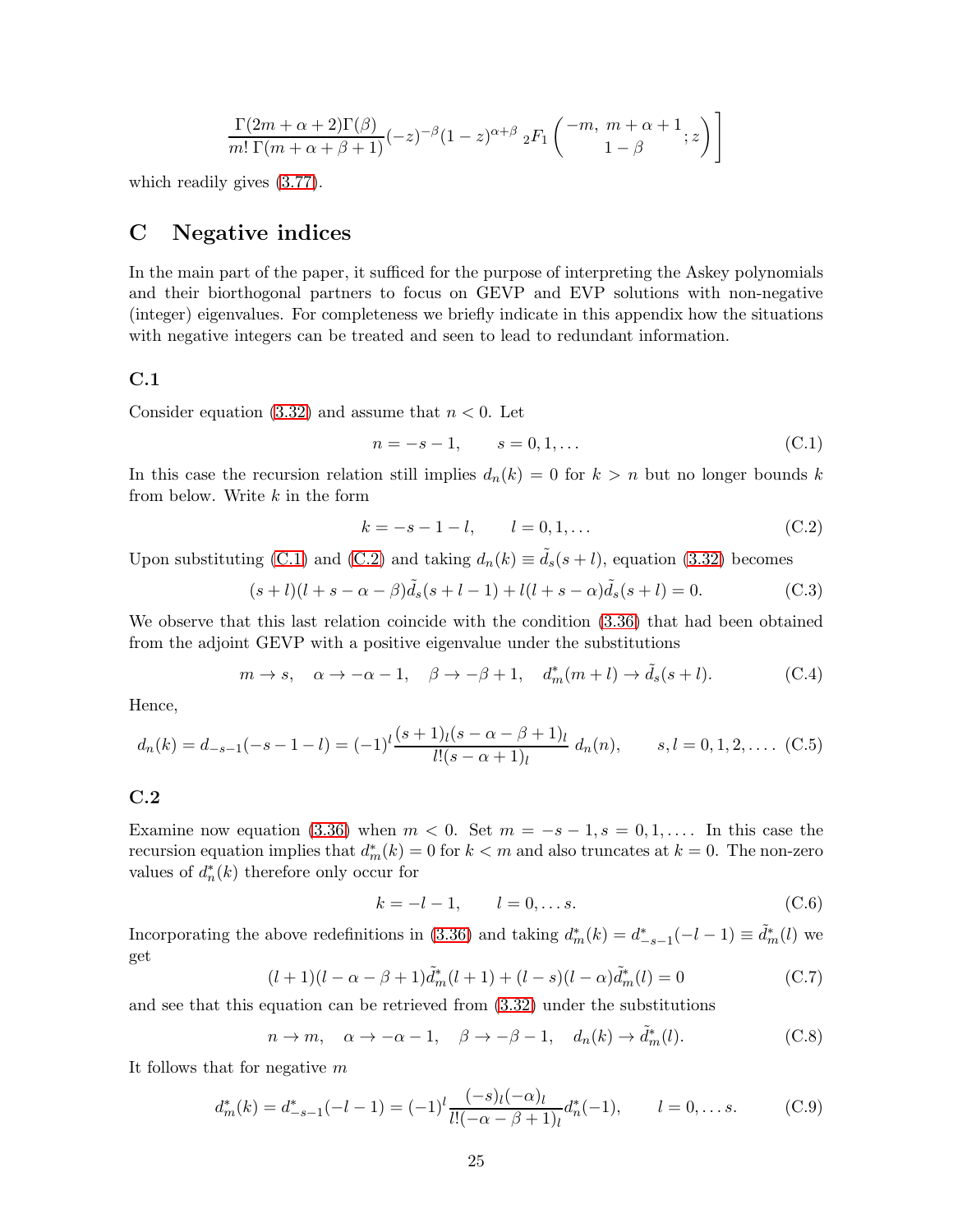$$
\frac{\Gamma(2m+\alpha+2)\Gamma(\beta)}{m!\ \Gamma(m+\alpha+\beta+1)}(-z)^{-\beta}(1-z)^{\alpha+\beta}\ {}_2F_1\left(\begin{matrix} -m,\ m+\alpha+1\ 1-\beta\ \end{matrix};z\right)\Bigg]
$$

<span id="page-24-0"></span>which readily gives [\(3.77\)](#page-13-0).

## C Negative indices

In the main part of the paper, it sufficed for the purpose of interpreting the Askey polynomials and their biorthogonal partners to focus on GEVP and EVP solutions with non-negative (integer) eigenvalues. For completeness we briefly indicate in this appendix how the situations with negative integers can be treated and seen to lead to redundant information.

#### C.1

Consider equation [\(3.32\)](#page-8-0) and assume that  $n < 0$ . Let

<span id="page-24-1"></span>
$$
n = -s - 1, \qquad s = 0, 1, \dots \tag{C.1}
$$

In this case the recursion relation still implies  $d_n(k) = 0$  for  $k > n$  but no longer bounds k from below. Write  $k$  in the form

<span id="page-24-2"></span>
$$
k = -s - 1 - l, \t l = 0, 1, \dots \t (C.2)
$$

Upon substituting [\(C.1\)](#page-24-1) and [\(C.2\)](#page-24-2) and taking  $d_n(k) \equiv \tilde{d}_s(s+l)$ , equation [\(3.32\)](#page-8-0) becomes

$$
(s+l)(l + s - \alpha - \beta)\tilde{d}_s(s + l - 1) + l(l + s - \alpha)\tilde{d}_s(s + l) = 0.
$$
 (C.3)

We observe that this last relation coincide with the condition  $(3.36)$  that had been obtained from the adjoint GEVP with a positive eigenvalue under the substitutions

$$
m \to s
$$
,  $\alpha \to -\alpha - 1$ ,  $\beta \to -\beta + 1$ ,  $d_m^*(m + l) \to \tilde{d}_s(s + l)$ . (C.4)

Hence,

$$
d_n(k) = d_{-s-1}(-s-1-l) = (-1)^l \frac{(s+1)_l(s-\alpha-\beta+1)_l}{l!(s-\alpha+1)_l} d_n(n), \qquad s, l = 0, 1, 2, \dots \quad \text{(C.5)}
$$

## C.2

Examine now equation [\(3.36\)](#page-8-1) when  $m < 0$ . Set  $m = -s - 1$ ,  $s = 0, 1, \ldots$  In this case the recursion equation implies that  $d_m^*(k) = 0$  for  $k < m$  and also truncates at  $k = 0$ . The non-zero values of  $d_n^*(k)$  therefore only occur for

$$
k = -l - 1, \t l = 0, \dots s.
$$
 (C.6)

Incorporating the above redefinitions in [\(3.36\)](#page-8-1) and taking  $d_m^*(k) = d_{-s-1}^*(-l-1) \equiv \tilde{d}_m^*(l)$  we get

$$
(l+1)(l-\alpha-\beta+1)\tilde{d}_m^*(l+1) + (l-s)(l-\alpha)\tilde{d}_m^*(l) = 0
$$
 (C.7)

and see that this equation can be retrieved from [\(3.32\)](#page-8-0) under the substitutions

 $n \to m, \quad \alpha \to -\alpha - 1, \quad \beta \to -\beta - 1, \quad d_n(k) \to \tilde{d}_m^*(l).$  (C.8)

It follows that for negative m

$$
d_m^*(k) = d_{-s-1}^*(-l-1) = (-1)^l \frac{(-s)_l (-\alpha)_l}{l! (-\alpha - \beta + 1)_l} d_n^*(-1), \qquad l = 0, \dots s.
$$
 (C.9)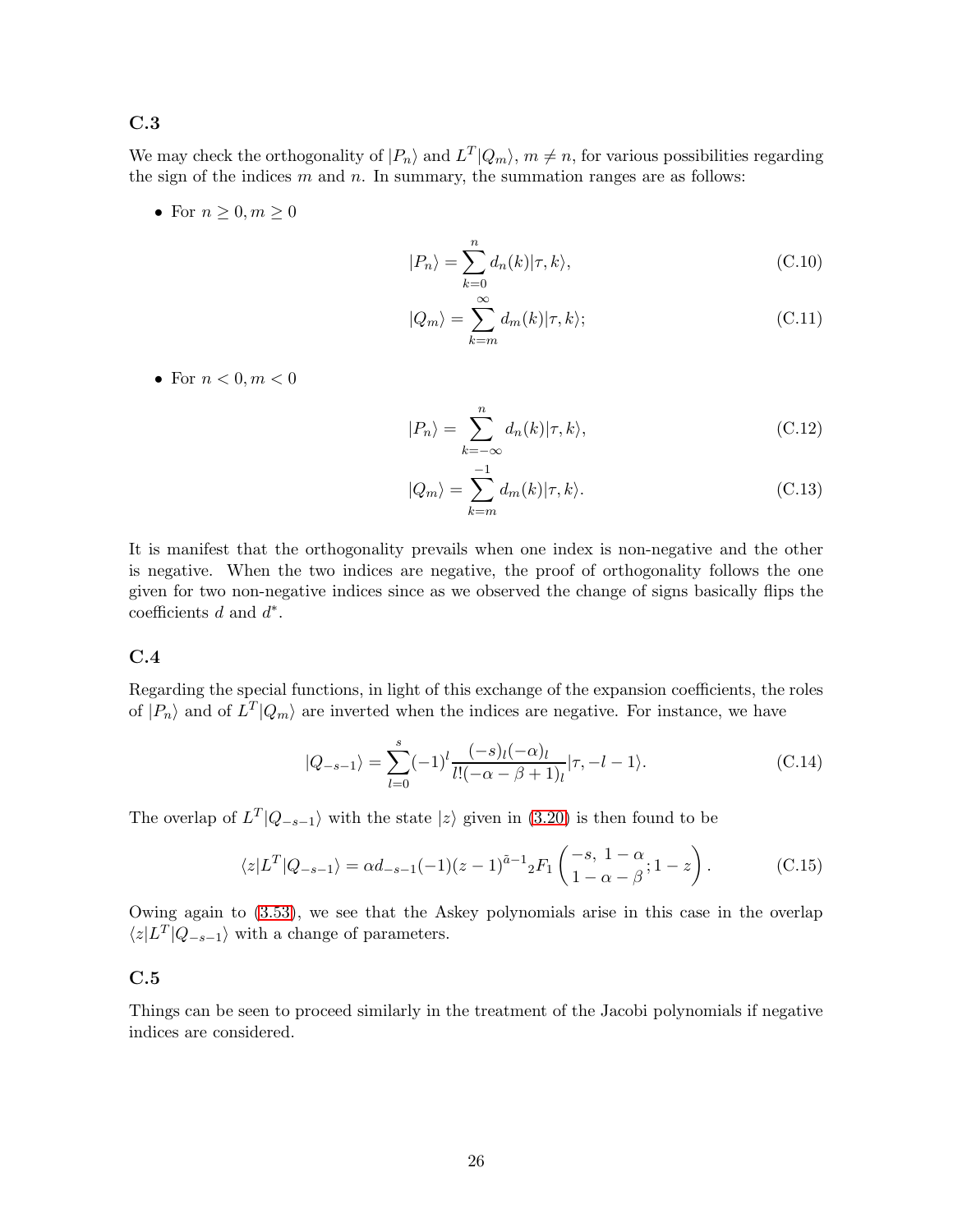#### C.3

We may check the orthogonality of  $|P_n\rangle$  and  $L^T|Q_m\rangle$ ,  $m \neq n$ , for various possibilities regarding the sign of the indices  $m$  and  $n$ . In summary, the summation ranges are as follows:

• For  $n \geq 0, m \geq 0$ 

$$
|P_n\rangle = \sum_{k=0}^{n} d_n(k) |\tau, k\rangle, \qquad (C.10)
$$

$$
|Q_m\rangle = \sum_{k=m}^{\infty} d_m(k) |\tau, k\rangle; \tag{C.11}
$$

• For  $n < 0, m < 0$ 

$$
|P_n\rangle = \sum_{k=-\infty}^{n} d_n(k) |\tau, k\rangle, \tag{C.12}
$$

$$
|Q_m\rangle = \sum_{k=m}^{-1} d_m(k) |\tau, k\rangle.
$$
 (C.13)

It is manifest that the orthogonality prevails when one index is non-negative and the other is negative. When the two indices are negative, the proof of orthogonality follows the one given for two non-negative indices since as we observed the change of signs basically flips the coefficients  $d$  and  $d^*$ .

#### C.4

Regarding the special functions, in light of this exchange of the expansion coefficients, the roles of  $|P_n\rangle$  and of  $L^T|Q_m\rangle$  are inverted when the indices are negative. For instance, we have

$$
|Q_{-s-1}\rangle = \sum_{l=0}^{s} (-1)^l \frac{(-s)_l (-\alpha)_l}{l! (-\alpha - \beta + 1)_l} |\tau, -l - 1\rangle.
$$
 (C.14)

The overlap of  $L^T|Q_{-s-1}\rangle$  with the state  $|z\rangle$  given in [\(3.20\)](#page-6-4) is then found to be

$$
\langle z|L^T|Q_{-s-1}\rangle = \alpha d_{-s-1}(-1)(z-1)^{\tilde{a}-1} {}_{2}F_{1}\left(\begin{matrix} -s, & 1-\alpha \\ 1-\alpha-\beta \end{matrix}; 1-z\right). \tag{C.15}
$$

Owing again to [\(3.53\)](#page-10-1), we see that the Askey polynomials arise in this case in the overlap  $\langle z|L^T|Q_{-s-1}\rangle$  with a change of parameters.

#### C.5

Things can be seen to proceed similarly in the treatment of the Jacobi polynomials if negative indices are considered.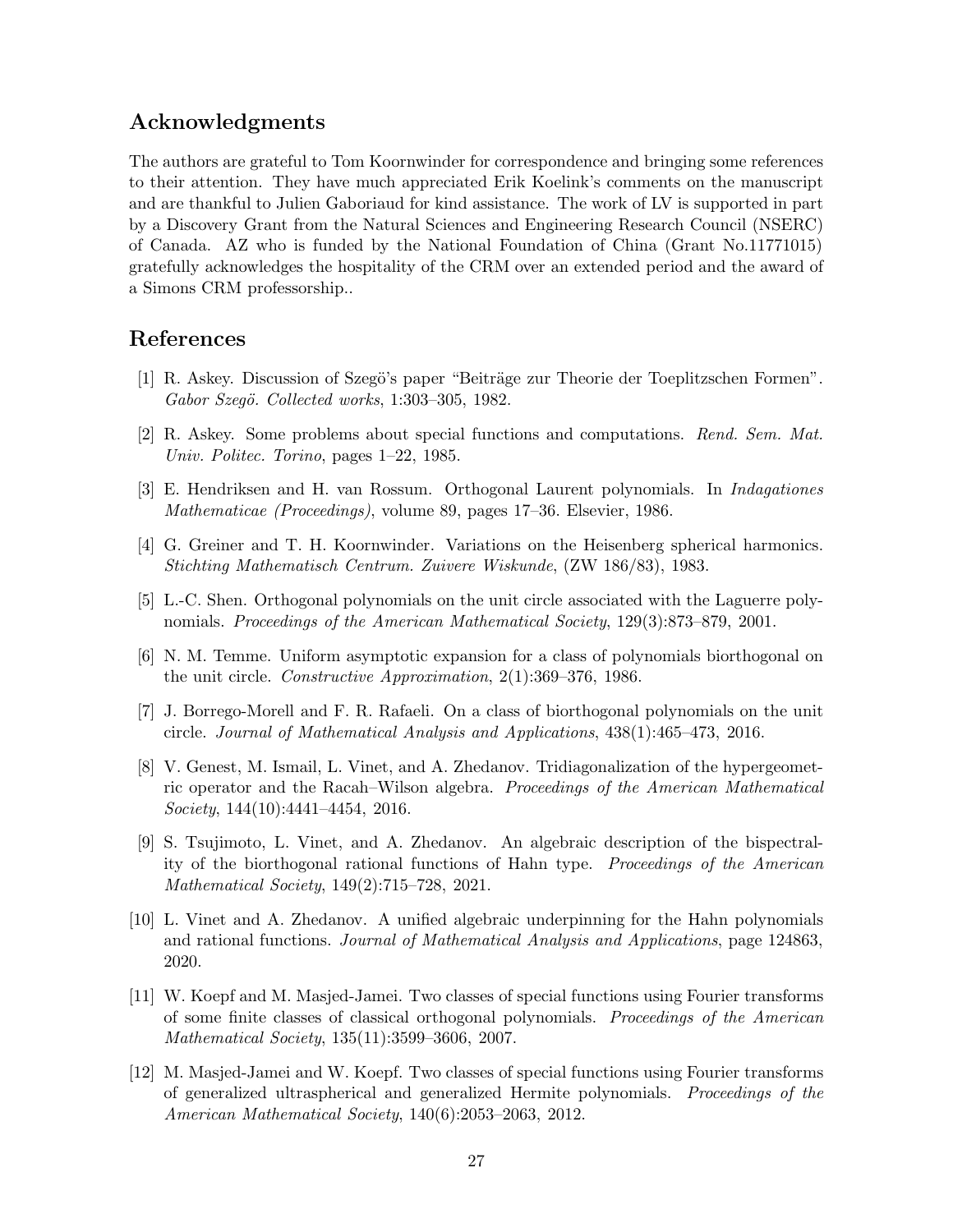## Acknowledgments

The authors are grateful to Tom Koornwinder for correspondence and bringing some references to their attention. They have much appreciated Erik Koelink's comments on the manuscript and are thankful to Julien Gaboriaud for kind assistance. The work of LV is supported in part by a Discovery Grant from the Natural Sciences and Engineering Research Council (NSERC) of Canada. AZ who is funded by the National Foundation of China (Grant No.11771015) gratefully acknowledges the hospitality of the CRM over an extended period and the award of a Simons CRM professorship..

## References

- <span id="page-26-0"></span>[1] R. Askey. Discussion of Szegö's paper "Beiträge zur Theorie der Toeplitzschen Formen". Gabor Szegö. Collected works, 1:303-305, 1982.
- <span id="page-26-1"></span>[2] R. Askey. Some problems about special functions and computations. Rend. Sem. Mat. Univ. Politec. Torino, pages 1–22, 1985.
- <span id="page-26-2"></span>[3] E. Hendriksen and H. van Rossum. Orthogonal Laurent polynomials. In Indagationes Mathematicae (Proceedings), volume 89, pages 17–36. Elsevier, 1986.
- <span id="page-26-3"></span>[4] G. Greiner and T. H. Koornwinder. Variations on the Heisenberg spherical harmonics. Stichting Mathematisch Centrum. Zuivere Wiskunde, (ZW 186/83), 1983.
- <span id="page-26-4"></span>[5] L.-C. Shen. Orthogonal polynomials on the unit circle associated with the Laguerre polynomials. Proceedings of the American Mathematical Society, 129(3):873–879, 2001.
- <span id="page-26-5"></span>[6] N. M. Temme. Uniform asymptotic expansion for a class of polynomials biorthogonal on the unit circle. Constructive Approximation, 2(1):369–376, 1986.
- <span id="page-26-6"></span>[7] J. Borrego-Morell and F. R. Rafaeli. On a class of biorthogonal polynomials on the unit circle. Journal of Mathematical Analysis and Applications, 438(1):465–473, 2016.
- <span id="page-26-7"></span>[8] V. Genest, M. Ismail, L. Vinet, and A. Zhedanov. Tridiagonalization of the hypergeometric operator and the Racah–Wilson algebra. Proceedings of the American Mathematical Society, 144(10):4441-4454, 2016.
- <span id="page-26-8"></span>[9] S. Tsujimoto, L. Vinet, and A. Zhedanov. An algebraic description of the bispectrality of the biorthogonal rational functions of Hahn type. Proceedings of the American Mathematical Society, 149(2):715–728, 2021.
- <span id="page-26-9"></span>[10] L. Vinet and A. Zhedanov. A unified algebraic underpinning for the Hahn polynomials and rational functions. Journal of Mathematical Analysis and Applications, page 124863, 2020.
- <span id="page-26-10"></span>[11] W. Koepf and M. Masjed-Jamei. Two classes of special functions using Fourier transforms of some finite classes of classical orthogonal polynomials. Proceedings of the American Mathematical Society, 135(11):3599–3606, 2007.
- <span id="page-26-11"></span>[12] M. Masjed-Jamei and W. Koepf. Two classes of special functions using Fourier transforms of generalized ultraspherical and generalized Hermite polynomials. Proceedings of the American Mathematical Society, 140(6):2053–2063, 2012.